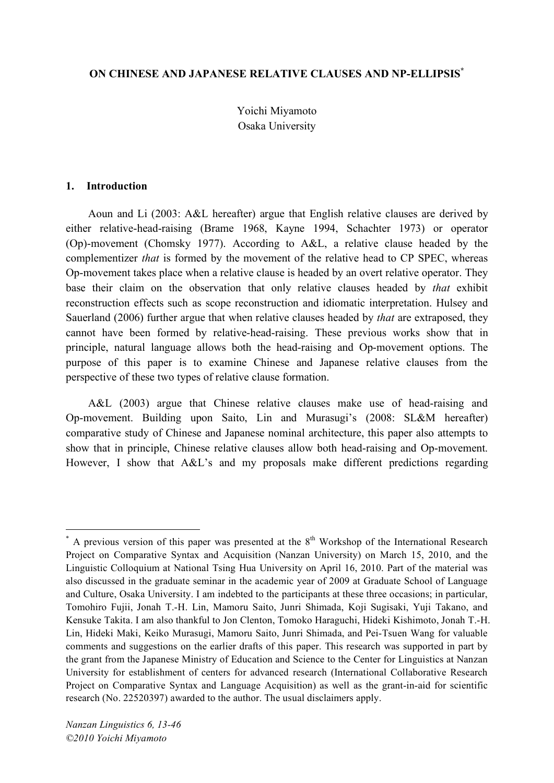### **ON CHINESE AND JAPANESE RELATIVE CLAUSES AND NP-ELLIPSIS\***

Yoichi Miyamoto Osaka University

#### **1. Introduction**

Aoun and Li (2003: A&L hereafter) argue that English relative clauses are derived by either relative-head-raising (Brame 1968, Kayne 1994, Schachter 1973) or operator (Op)-movement (Chomsky 1977). According to A&L, a relative clause headed by the complementizer *that* is formed by the movement of the relative head to CP SPEC, whereas Op-movement takes place when a relative clause is headed by an overt relative operator. They base their claim on the observation that only relative clauses headed by *that* exhibit reconstruction effects such as scope reconstruction and idiomatic interpretation. Hulsey and Sauerland (2006) further argue that when relative clauses headed by *that* are extraposed, they cannot have been formed by relative-head-raising. These previous works show that in principle, natural language allows both the head-raising and Op-movement options. The purpose of this paper is to examine Chinese and Japanese relative clauses from the perspective of these two types of relative clause formation.

A&L (2003) argue that Chinese relative clauses make use of head-raising and Op-movement. Building upon Saito, Lin and Murasugi's (2008: SL&M hereafter) comparative study of Chinese and Japanese nominal architecture, this paper also attempts to show that in principle, Chinese relative clauses allow both head-raising and Op-movement. However, I show that A&L's and my proposals make different predictions regarding

 $*$  A previous version of this paper was presented at the  $8<sup>th</sup>$  Workshop of the International Research Project on Comparative Syntax and Acquisition (Nanzan University) on March 15, 2010, and the Linguistic Colloquium at National Tsing Hua University on April 16, 2010. Part of the material was also discussed in the graduate seminar in the academic year of 2009 at Graduate School of Language and Culture, Osaka University. I am indebted to the participants at these three occasions; in particular, Tomohiro Fujii, Jonah T.-H. Lin, Mamoru Saito, Junri Shimada, Koji Sugisaki, Yuji Takano, and Kensuke Takita. I am also thankful to Jon Clenton, Tomoko Haraguchi, Hideki Kishimoto, Jonah T.-H. Lin, Hideki Maki, Keiko Murasugi, Mamoru Saito, Junri Shimada, and Pei-Tsuen Wang for valuable comments and suggestions on the earlier drafts of this paper. This research was supported in part by the grant from the Japanese Ministry of Education and Science to the Center for Linguistics at Nanzan University for establishment of centers for advanced research (International Collaborative Research Project on Comparative Syntax and Language Acquisition) as well as the grant-in-aid for scientific research (No. 22520397) awarded to the author. The usual disclaimers apply.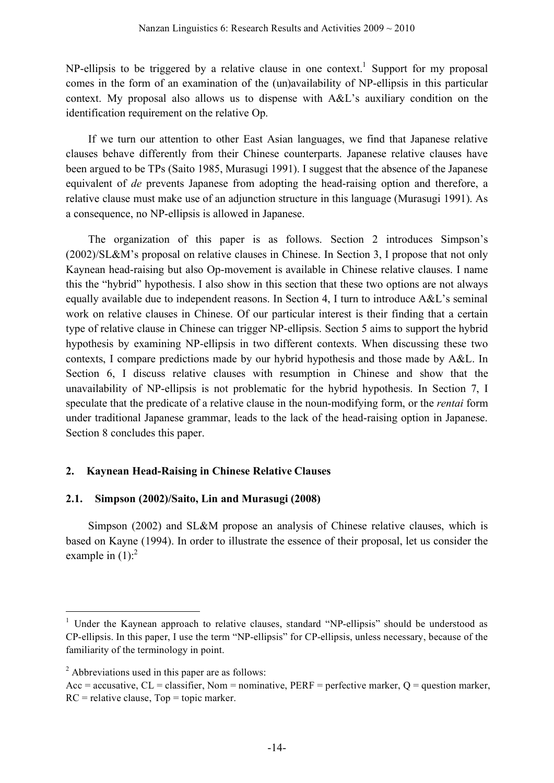NP-ellipsis to be triggered by a relative clause in one context.<sup>1</sup> Support for my proposal comes in the form of an examination of the (un)availability of NP-ellipsis in this particular context. My proposal also allows us to dispense with A&L's auxiliary condition on the identification requirement on the relative Op.

If we turn our attention to other East Asian languages, we find that Japanese relative clauses behave differently from their Chinese counterparts. Japanese relative clauses have been argued to be TPs (Saito 1985, Murasugi 1991). I suggest that the absence of the Japanese equivalent of *de* prevents Japanese from adopting the head-raising option and therefore, a relative clause must make use of an adjunction structure in this language (Murasugi 1991). As a consequence, no NP-ellipsis is allowed in Japanese.

The organization of this paper is as follows. Section 2 introduces Simpson's (2002)/SL&M's proposal on relative clauses in Chinese. In Section 3, I propose that not only Kaynean head-raising but also Op-movement is available in Chinese relative clauses. I name this the "hybrid" hypothesis. I also show in this section that these two options are not always equally available due to independent reasons. In Section 4, I turn to introduce A&L's seminal work on relative clauses in Chinese. Of our particular interest is their finding that a certain type of relative clause in Chinese can trigger NP-ellipsis. Section 5 aims to support the hybrid hypothesis by examining NP-ellipsis in two different contexts. When discussing these two contexts, I compare predictions made by our hybrid hypothesis and those made by A&L. In Section 6, I discuss relative clauses with resumption in Chinese and show that the unavailability of NP-ellipsis is not problematic for the hybrid hypothesis. In Section 7, I speculate that the predicate of a relative clause in the noun-modifying form, or the *rentai* form under traditional Japanese grammar, leads to the lack of the head-raising option in Japanese. Section 8 concludes this paper.

## **2. Kaynean Head-Raising in Chinese Relative Clauses**

## **2.1. Simpson (2002)/Saito, Lin and Murasugi (2008)**

Simpson (2002) and SL&M propose an analysis of Chinese relative clauses, which is based on Kayne (1994). In order to illustrate the essence of their proposal, let us consider the example in  $(1)$ :<sup>2</sup>

<sup>&</sup>lt;sup>1</sup> Under the Kaynean approach to relative clauses, standard "NP-ellipsis" should be understood as CP-ellipsis. In this paper, I use the term "NP-ellipsis" for CP-ellipsis, unless necessary, because of the familiarity of the terminology in point.

<sup>2</sup> Abbreviations used in this paper are as follows:

Acc = accusative,  $CL = classifier$ , Nom = nominative,  $PERF = perfective marker$ ,  $Q = question marker$ ,  $RC =$  relative clause,  $Top =$  topic marker.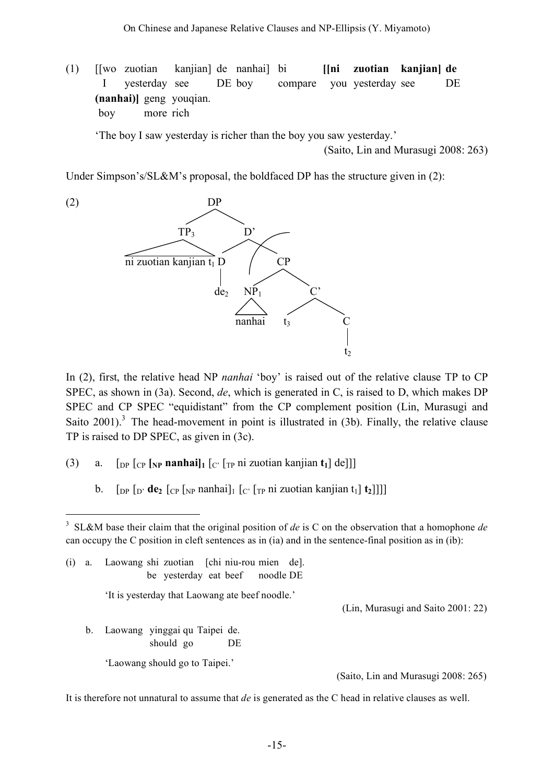(1) [[wo zuotian kanjian] de nanhai] bi **[[ni zuotian kanjian] de** I yesterday see DE boy compare you yesterday see DE **(nanhai)]** geng youqian. boy more rich

'The boy I saw yesterday is richer than the boy you saw yesterday.'

(Saito, Lin and Murasugi 2008: 263)

Under Simpson's/SL&M's proposal, the boldfaced DP has the structure given in (2):



In (2), first, the relative head NP *nanhai* 'boy' is raised out of the relative clause TP to CP SPEC, as shown in (3a). Second, *de*, which is generated in C, is raised to D, which makes DP SPEC and CP SPEC "equidistant" from the CP complement position (Lin, Murasugi and Saito  $2001$ ).<sup>3</sup> The head-movement in point is illustrated in (3b). Finally, the relative clause TP is raised to DP SPEC, as given in (3c).

- (3) a. [DP [CP **[NP nanhai]1** [C' [TP ni zuotian kanjian **t1**] de]]]
	- b.  $\left[\int_{\text{DP}} \int_{\text{D}'} \text{d} \mathbf{e}_2 \left[ \int_{\text{CP}} \int_{\text{NP}} \text{nanhai} \right] \right] \left[ \int_{\text{CP}} \int_{\text{TP}} \text{ni} \text{zuotian} \text{kanjian} \right] \mathbf{t}_1 \right]$

(i) a. Laowang shi zuotian [chi niu-rou mien de]. be yesterday eat beef noodle DE

'It is yesterday that Laowang ate beef noodle.'

(Lin, Murasugi and Saito 2001: 22)

b. Laowang yinggai qu Taipei de. should go DE

'Laowang should go to Taipei.'

(Saito, Lin and Murasugi 2008: 265)

It is therefore not unnatural to assume that *de* is generated as the C head in relative clauses as well.

 <sup>3</sup> SL&M base their claim that the original position of *de* is <sup>C</sup> on the observation that <sup>a</sup> homophone *de* can occupy the C position in cleft sentences as in (ia) and in the sentence-final position as in (ib):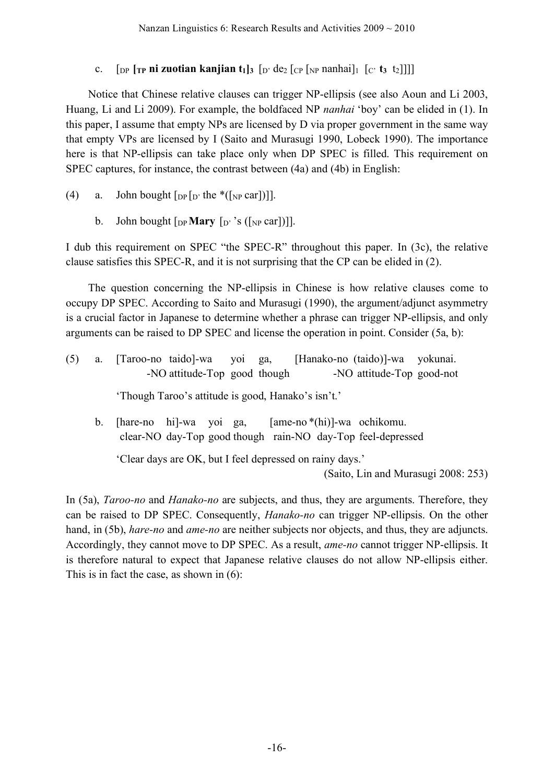# c.  $\int_{\text{DP}} \int_{\text{TP}} \text{ni} \text{zuotian} \text{kanjian } t_1 \vert_3 \int_{\text{D}'} \text{de}_2 \int_{\text{CP}} \int_{\text{NP}} \text{nanhail} \left[ \int_{\text{C}} t_3 \text{ to } 1 \right]$

Notice that Chinese relative clauses can trigger NP-ellipsis (see also Aoun and Li 2003, Huang, Li and Li 2009). For example, the boldfaced NP *nanhai* 'boy' can be elided in (1). In this paper, I assume that empty NPs are licensed by D via proper government in the same way that empty VPs are licensed by I (Saito and Murasugi 1990, Lobeck 1990). The importance here is that NP-ellipsis can take place only when DP SPEC is filled. This requirement on SPEC captures, for instance, the contrast between (4a) and (4b) in English:

- (4) a. John bought  $\lceil_{DP} \rceil_D$  the \*( $\lceil_{NP} \text{car} \rceil$ )].
	- b. John bought  $\lceil_{DP}$ **Mary**  $\lceil_{D'}$ 's ( $\lceil_{NP}$  car])]].

I dub this requirement on SPEC "the SPEC-R" throughout this paper. In (3c), the relative clause satisfies this SPEC-R, and it is not surprising that the CP can be elided in (2).

The question concerning the NP-ellipsis in Chinese is how relative clauses come to occupy DP SPEC. According to Saito and Murasugi (1990), the argument/adjunct asymmetry is a crucial factor in Japanese to determine whether a phrase can trigger NP-ellipsis, and only arguments can be raised to DP SPEC and license the operation in point. Consider (5a, b):

| (5) | a.      | [Hanako-no (taido)]-wa yokunai.<br>[Taroo-no taido]-wa yoi ga,<br>-NO attitude-Top good-not<br>-NO attitude-Top good though |
|-----|---------|-----------------------------------------------------------------------------------------------------------------------------|
|     |         | 'Though Taroo's attitude is good, Hanako's isn't.'                                                                          |
|     | $b_{-}$ | [hare-no hi]-wa yoi ga,<br>$[ame-no*(hi)]-wa$ ochikomu.<br>clear-NO day-Top good though rain-NO day-Top feel-depressed      |
|     |         | 'Clear days are OK, but I feel depressed on rainy days.'                                                                    |
|     |         | (Saito, Lin and Murasugi 2008: 253)                                                                                         |

In (5a), *Taroo-no* and *Hanako-no* are subjects, and thus, they are arguments. Therefore, they can be raised to DP SPEC. Consequently, *Hanako-no* can trigger NP-ellipsis. On the other hand, in (5b), *hare-no* and *ame-no* are neither subjects nor objects, and thus, they are adjuncts. Accordingly, they cannot move to DP SPEC. As a result, *ame-no* cannot trigger NP-ellipsis. It is therefore natural to expect that Japanese relative clauses do not allow NP-ellipsis either. This is in fact the case, as shown in (6):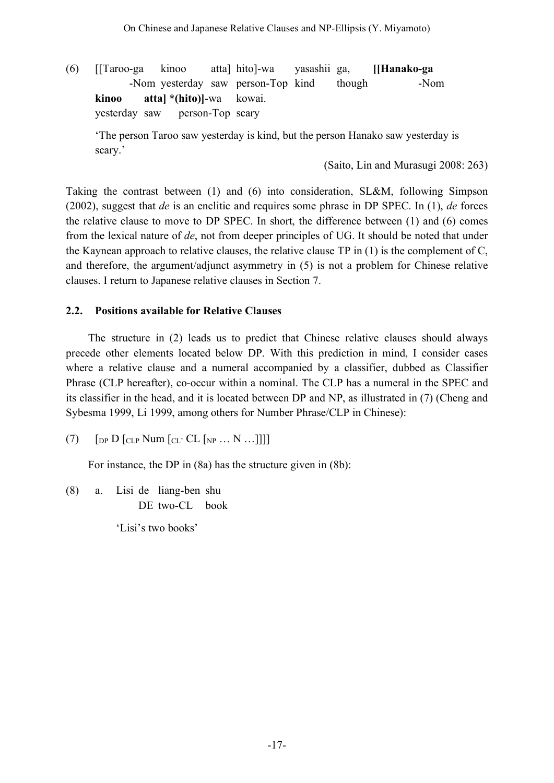(6) [[Taroo-ga kinoo atta] hito]-wa yasashii ga, **[[Hanako-ga** -Nom yesterday saw person-Top kind though **[Manaloon-Nom**] **kinoo atta] \*(hito)]**-wa kowai. yesterday saw **person-Top** scary

'The person Taroo saw yesterday is kind, but the person Hanako saw yesterday is scary.'

(Saito, Lin and Murasugi 2008: 263)

Taking the contrast between (1) and (6) into consideration, SL&M, following Simpson (2002), suggest that *de* is an enclitic and requires some phrase in DP SPEC. In (1), *de* forces the relative clause to move to DP SPEC. In short, the difference between (1) and (6) comes from the lexical nature of *de*, not from deeper principles of UG. It should be noted that under the Kaynean approach to relative clauses, the relative clause TP in (1) is the complement of C, and therefore, the argument/adjunct asymmetry in (5) is not a problem for Chinese relative clauses. I return to Japanese relative clauses in Section 7.

## **2.2. Positions available for Relative Clauses**

The structure in (2) leads us to predict that Chinese relative clauses should always precede other elements located below DP. With this prediction in mind, I consider cases where a relative clause and a numeral accompanied by a classifier, dubbed as Classifier Phrase (CLP hereafter), co-occur within a nominal. The CLP has a numeral in the SPEC and its classifier in the head, and it is located between DP and NP, as illustrated in (7) (Cheng and Sybesma 1999, Li 1999, among others for Number Phrase/CLP in Chinese):

(7)  $\left[$   $\left[$   $\right]$  D  $\left[$   $\left[$   $\right]$   $\left[$   $\right]$   $\left[$   $\left[$   $\left[$   $\right]$   $\left[$   $\left[$   $\right]$   $\left[$   $\left[$   $\right]$   $\left[$   $\left[$   $\right]$   $\left[$   $\left[$   $\right]$   $\left[$   $\left[$   $\right]$   $\left[$   $\left[$   $\left[$   $\right]$   $\left[$   $\left[$   $\left[$   $\right]$   $\left[$ 

For instance, the DP in (8a) has the structure given in (8b):

(8) a. Lisi de liang-ben shu DE two-CL book

'Lisi's two books'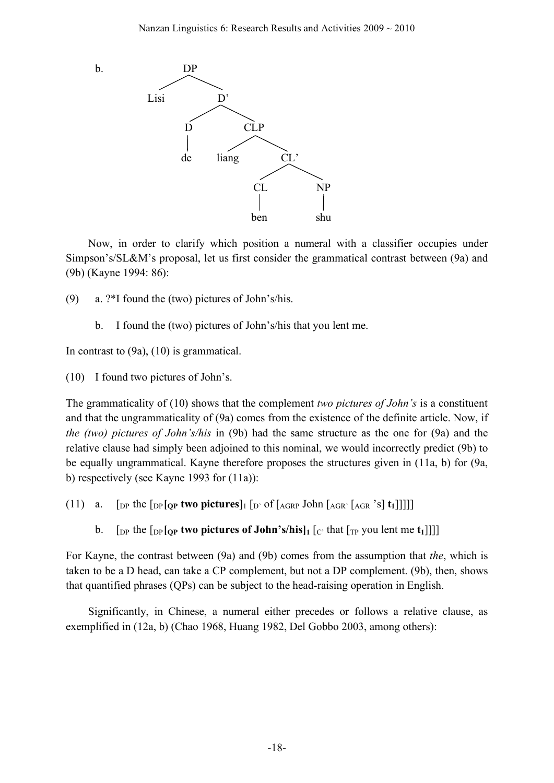

Now, in order to clarify which position a numeral with a classifier occupies under Simpson's/SL&M's proposal, let us first consider the grammatical contrast between (9a) and (9b) (Kayne 1994: 86):

- (9) a. ?\*I found the (two) pictures of John's/his.
	- b. I found the (two) pictures of John's/his that you lent me.

In contrast to (9a), (10) is grammatical.

(10) I found two pictures of John's.

The grammaticality of (10) shows that the complement *two pictures of John's* is a constituent and that the ungrammaticality of (9a) comes from the existence of the definite article. Now, if *the (two) pictures of John's/his* in (9b) had the same structure as the one for (9a) and the relative clause had simply been adjoined to this nominal, we would incorrectly predict (9b) to be equally ungrammatical. Kayne therefore proposes the structures given in (11a, b) for (9a, b) respectively (see Kayne 1993 for (11a)):

- (11) a.  $\lceil \frac{\text{D}}{\text{DP}} \rceil$  the  $\lceil \frac{\text{D}}{\text{DP}} \rceil$  **two pictures**  $\lceil \frac{\text{D}}{\text{DP}} \rceil$  of  $\lceil \frac{\text{AGR}}{\text{GRP}} \rceil$  on  $\lceil \frac{\text{AGR}}{\text{GRP}} \rceil$  s  $\lceil \frac{\text{t}}{\text{H}} \rceil$ 
	- b. [DP the  $\lceil \frac{\text{DP}}{\text{DP}} \rceil$  **(OP two pictures of John's/his** $\lceil \frac{\text{P}}{\text{DP}} \rceil$  that  $\lceil \frac{\text{TP}}{\text{PO}} \rceil$  soulent me **t**<sub>1</sub>]]]

For Kayne, the contrast between (9a) and (9b) comes from the assumption that *the*, which is taken to be a D head, can take a CP complement, but not a DP complement. (9b), then, shows that quantified phrases (QPs) can be subject to the head-raising operation in English.

Significantly, in Chinese, a numeral either precedes or follows a relative clause, as exemplified in (12a, b) (Chao 1968, Huang 1982, Del Gobbo 2003, among others):

-18-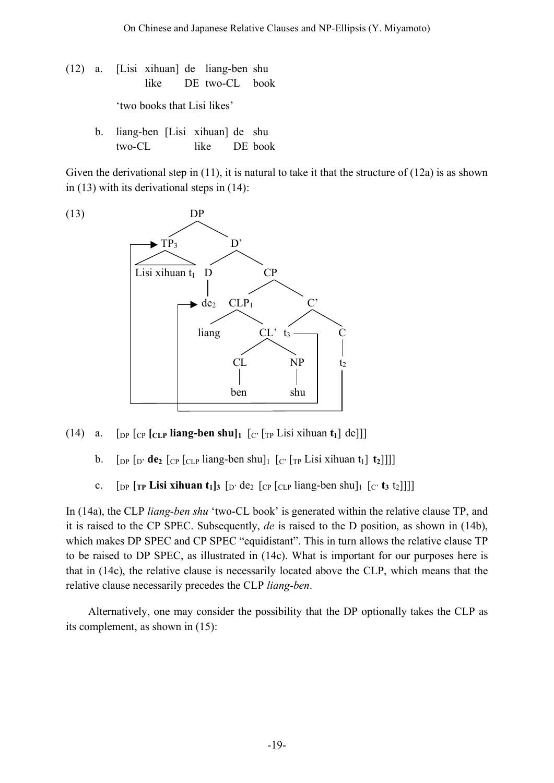- (12) a. [Lisi xihuan] de liang-ben shu like DE two-CL book 'two books that Lisi likes'
	- b. liang-ben [Lisi xihuan] de shu two-CL like DE book

Given the derivational step in  $(11)$ , it is natural to take it that the structure of  $(12a)$  is as shown in (13) with its derivational steps in (14):



- (14) a.  $\lceil \frac{\text{op}}{\text{op}} \rceil \frac{\text{C}}{\text{C}} \rceil$   $\lceil \frac{\text{L}}{\text{op}} \rceil$   $\lceil \frac{\text{E}}{\text{op}} \rceil$   $\lceil \frac{\text{E}}{\text{op}} \rceil$   $\lceil \frac{\text{E}}{\text{op}} \rceil$   $\lceil \frac{\text{E}}{\text{op}} \rceil$ 
	- b.  $\left[\text{DP}\left[\text{D}'\text{d}\mathbf{e}_2\right]\left[\text{CP}\left[\text{CLP}\text{ling-ben shu}\right]\left[\text{C}'\left[\text{TP}\text{Lisi xihuan }t_1\right]\mathbf{t}_2\right]\right]\right]\right]$
	- c.  $\left[\text{DP}\left[\text{TP} \text{ Lisi xihuan } t_1\right]_3\right]_2$   $\left[\text{OP}\left[\text{CLP} \text{liang-ben shu}\right]_1\right]_2\left[\text{C} \text{t}_3 \text{ t}_2\right]]$

In (14a), the CLP *liang-ben shu* 'two-CL book' is generated within the relative clause TP, and it is raised to the CP SPEC. Subsequently, *de* is raised to the D position, as shown in (14b), which makes DP SPEC and CP SPEC "equidistant". This in turn allows the relative clause TP to be raised to DP SPEC, as illustrated in (14c). What is important for our purposes here is that in (14c), the relative clause is necessarily located above the CLP, which means that the relative clause necessarily precedes the CLP *liang-ben*.

Alternatively, one may consider the possibility that the DP optionally takes the CLP as its complement, as shown in (15):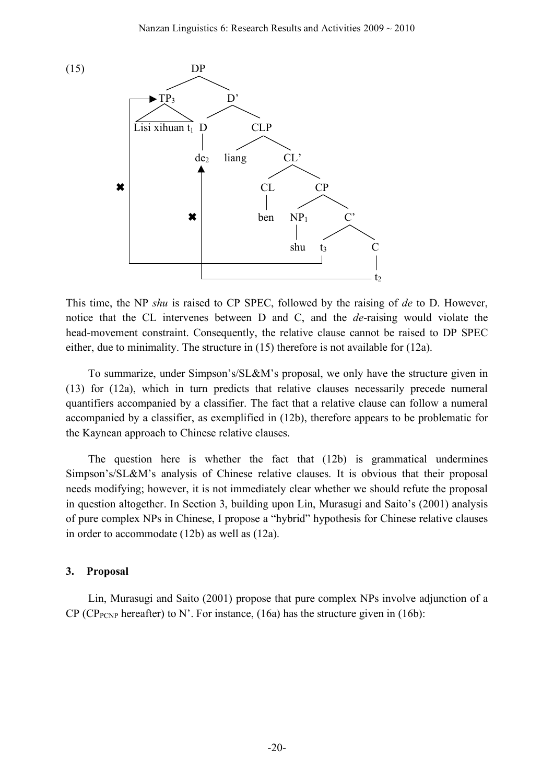

This time, the NP *shu* is raised to CP SPEC, followed by the raising of *de* to D. However, notice that the CL intervenes between D and C, and the *de*-raising would violate the head-movement constraint. Consequently, the relative clause cannot be raised to DP SPEC either, due to minimality. The structure in (15) therefore is not available for (12a).

To summarize, under Simpson's/SL&M's proposal, we only have the structure given in (13) for (12a), which in turn predicts that relative clauses necessarily precede numeral quantifiers accompanied by a classifier. The fact that a relative clause can follow a numeral accompanied by a classifier, as exemplified in (12b), therefore appears to be problematic for the Kaynean approach to Chinese relative clauses.

The question here is whether the fact that (12b) is grammatical undermines Simpson's/SL&M's analysis of Chinese relative clauses. It is obvious that their proposal needs modifying; however, it is not immediately clear whether we should refute the proposal in question altogether. In Section 3, building upon Lin, Murasugi and Saito's (2001) analysis of pure complex NPs in Chinese, I propose a "hybrid" hypothesis for Chinese relative clauses in order to accommodate (12b) as well as (12a).

#### **3. Proposal**

Lin, Murasugi and Saito (2001) propose that pure complex NPs involve adjunction of a CP (CP<sub>PCNP</sub> hereafter) to N'. For instance, (16a) has the structure given in (16b):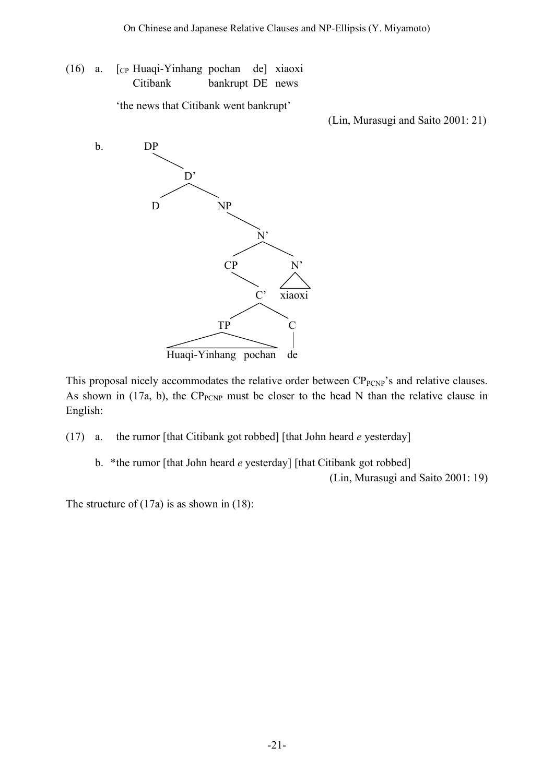(16) a. [CP Huaqi-Yinhang pochan de] xiaoxi Citibank bankrupt DE news

'the news that Citibank went bankrupt'

(Lin, Murasugi and Saito 2001: 21)



This proposal nicely accommodates the relative order between  $CP_{PCNP}$ 's and relative clauses. As shown in (17a, b), the  $CP_{PCNP}$  must be closer to the head N than the relative clause in English:

(17) a. the rumor [that Citibank got robbed] [that John heard *e* yesterday]

b. \*the rumor [that John heard *e* yesterday] [that Citibank got robbed] (Lin, Murasugi and Saito 2001: 19)

The structure of (17a) is as shown in (18):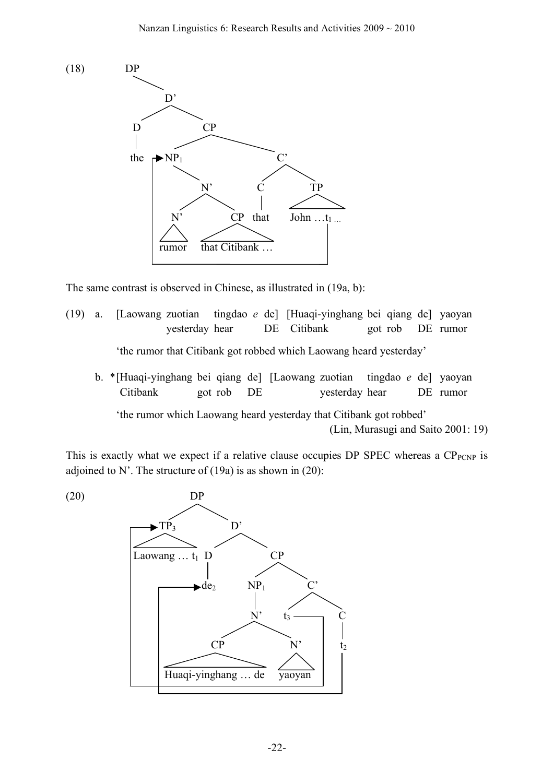

The same contrast is observed in Chinese, as illustrated in (19a, b):

- (19) a. [Laowang zuotian tingdao *e* de] [Huaqi-yinghang bei qiang de] yaoyan yesterday hear DE Citibank got rob DE rumor 'the rumor that Citibank got robbed which Laowang heard yesterday'
	- b. \*[Huaqi-yinghang bei qiang de] [Laowang zuotian tingdao *e* de] yaoyan [Citibank got rob DE yesterday hear DE rumor 'the rumor which Laowang heard yesterday that Citibank got robbed' (Lin, Murasugi and Saito 2001: 19)

This is exactly what we expect if a relative clause occupies DP SPEC whereas a  $CP_{PCNP}$  is adjoined to N'. The structure of  $(19a)$  is as shown in  $(20)$ :

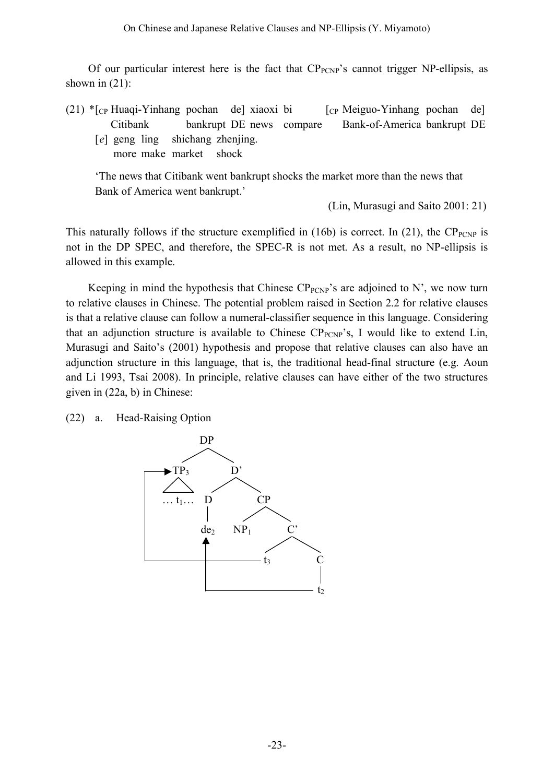Of our particular interest here is the fact that  $CP_{PCNP}$ 's cannot trigger NP-ellipsis, as shown in  $(21)$ :

- (21)  $\text{F}_{\text{CP}}$  Huaqi-Yinhang pochan de] xiaoxi bi [cp Meiguo-Yinhang pochan de] Citibank bankrupt DE news compare Bank-of-America bankrupt DE
	- [*e*] geng ling shichang zhenjing. more make market shock

'The news that Citibank went bankrupt shocks the market more than the news that Bank of America went bankrupt.'

(Lin, Murasugi and Saito 2001: 21)

This naturally follows if the structure exemplified in (16b) is correct. In (21), the  $CP_{PCNP}$  is not in the DP SPEC, and therefore, the SPEC-R is not met. As a result, no NP-ellipsis is allowed in this example.

Keeping in mind the hypothesis that Chinese  $CP_{PCNP}$ 's are adjoined to N', we now turn to relative clauses in Chinese. The potential problem raised in Section 2.2 for relative clauses is that a relative clause can follow a numeral-classifier sequence in this language. Considering that an adjunction structure is available to Chinese  $CP_{PCNP}$ 's, I would like to extend Lin, Murasugi and Saito's (2001) hypothesis and propose that relative clauses can also have an adjunction structure in this language, that is, the traditional head-final structure (e.g. Aoun and Li 1993, Tsai 2008). In principle, relative clauses can have either of the two structures given in (22a, b) in Chinese:

(22) a. Head-Raising Option

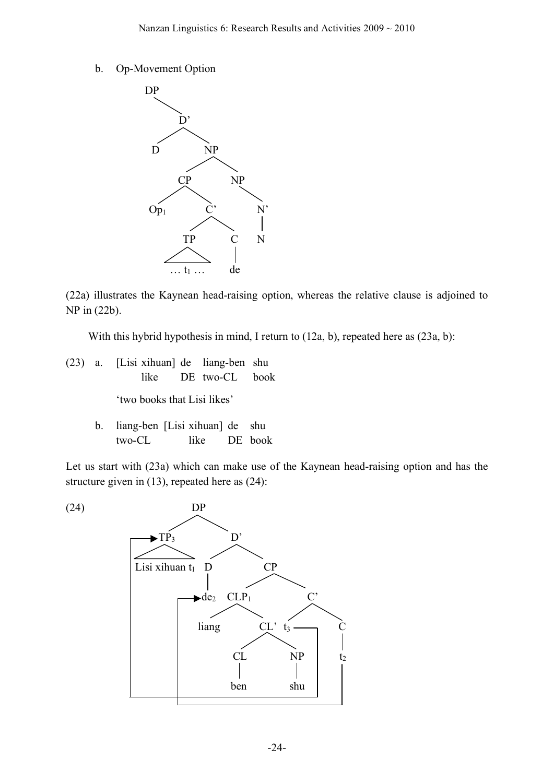b. Op-Movement Option



(22a) illustrates the Kaynean head-raising option, whereas the relative clause is adjoined to NP in (22b).

With this hybrid hypothesis in mind, I return to (12a, b), repeated here as (23a, b):

- (23) a. [Lisi xihuan] de liang-ben shu like DE two-CL book 'two books that Lisi likes'
	- b. liang-ben [Lisi xihuan] de shu two-CL like DE book

Let us start with (23a) which can make use of the Kaynean head-raising option and has the structure given in (13), repeated here as (24):

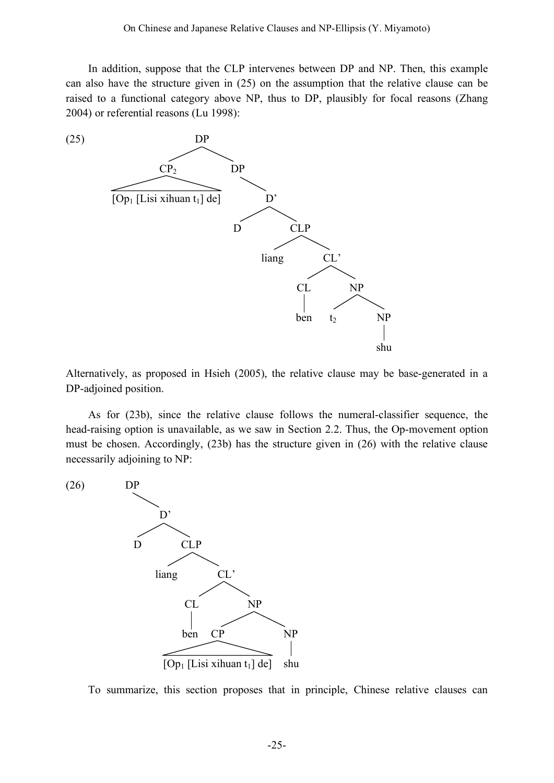In addition, suppose that the CLP intervenes between DP and NP. Then, this example can also have the structure given in (25) on the assumption that the relative clause can be raised to a functional category above NP, thus to DP, plausibly for focal reasons (Zhang 2004) or referential reasons (Lu 1998):



Alternatively, as proposed in Hsieh (2005), the relative clause may be base-generated in a DP-adjoined position.

As for (23b), since the relative clause follows the numeral-classifier sequence, the head-raising option is unavailable, as we saw in Section 2.2. Thus, the Op-movement option must be chosen. Accordingly, (23b) has the structure given in (26) with the relative clause necessarily adjoining to NP:

(26) DP D' D CLP liang CL' CL NP ben CP NP  $[Op<sub>1</sub> [Lisi xihuan t<sub>1</sub>] de]$  shu

To summarize, this section proposes that in principle, Chinese relative clauses can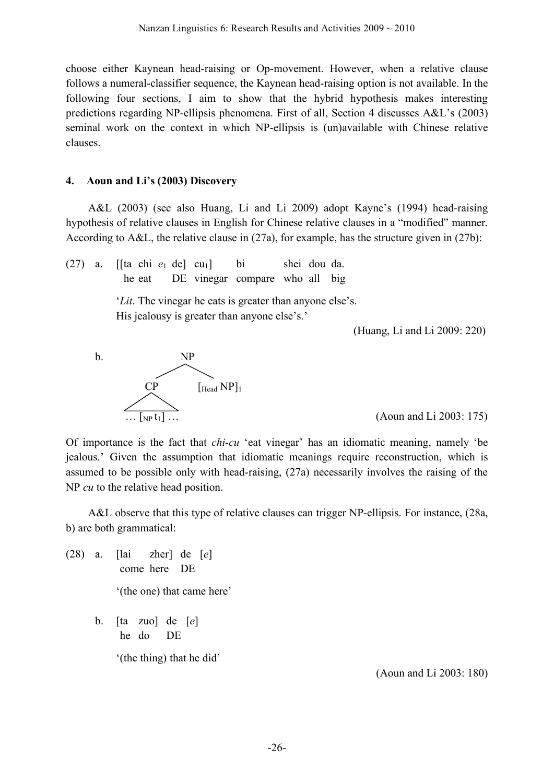choose either Kaynean head-raising or Op-movement. However, when a relative clause follows a numeral-classifier sequence, the Kaynean head-raising option is not available. In the following four sections, I aim to show that the hybrid hypothesis makes interesting predictions regarding NP-ellipsis phenomena. First of all, Section 4 discusses A&L's (2003) seminal work on the context in which NP-ellipsis is (un)available with Chinese relative clauses.

#### **4. Aoun and Li's (2003) Discovery**

A&L (2003) (see also Huang, Li and Li 2009) adopt Kayne's (1994) head-raising hypothesis of relative clauses in English for Chinese relative clauses in a "modified" manner. According to A&L, the relative clause in (27a), for example, has the structure given in (27b):

 $(27)$  a. [[ta chi  $e_1$  de] cu<sub>1</sub>] bi shei dou da. he eat DE vinegar compare who all big

> '*Lit*. The vinegar he eats is greater than anyone else's. His jealousy is greater than anyone else's.'

> > (Huang, Li and Li 2009: 220)



Of importance is the fact that *chi-cu* 'eat vinegar' has an idiomatic meaning, namely 'be jealous.' Given the assumption that idiomatic meanings require reconstruction, which is assumed to be possible only with head-raising, (27a) necessarily involves the raising of the NP *cu* to the relative head position.

A&L observe that this type of relative clauses can trigger NP-ellipsis. For instance, (28a, b) are both grammatical:

- (28) a. [lai zher] de [*e*] come here DE '(the one) that came here'
	- b. [ta zuo] de [*e*] he do DE

'(the thing) that he did'

(Aoun and Li 2003: 180)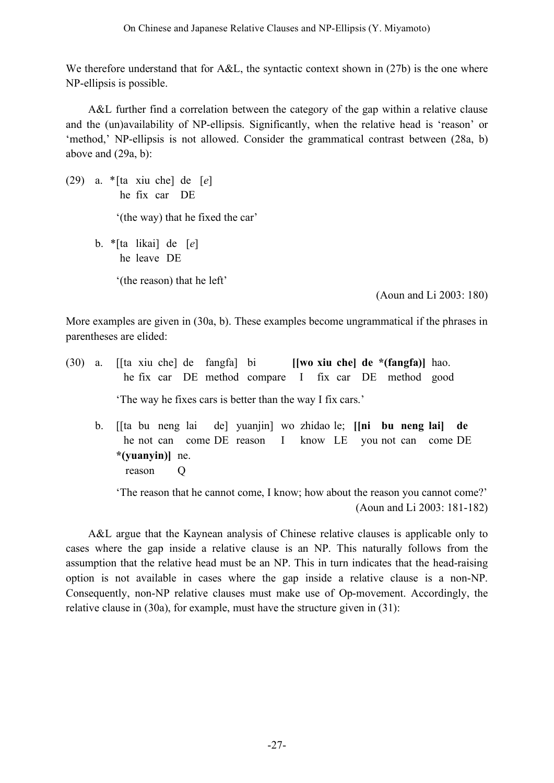We therefore understand that for A&L, the syntactic context shown in (27b) is the one where NP-ellipsis is possible.

A&L further find a correlation between the category of the gap within a relative clause and the (un)availability of NP-ellipsis. Significantly, when the relative head is 'reason' or 'method,' NP-ellipsis is not allowed. Consider the grammatical contrast between (28a, b) above and (29a, b):

(29) a. \*[ta xiu che] de [*e*] he fix car DE '(the way) that he fixed the car' b. \*[ta likai] de [*e*] he leave DE '(the reason) that he left'

(Aoun and Li 2003: 180)

More examples are given in (30a, b). These examples become ungrammatical if the phrases in parentheses are elided:

- (30) a. [[ta xiu che] de fangfa] bi **[[wo xiu che] de \*(fangfa)]** hao. he fix car DE method compare I fix car DE method good 'The way he fixes cars is better than the way I fix cars.'
	- b. [[ta bu neng lai de] yuanjin] wo zhidao le; **[[ni bu neng lai] de** he not can come DE reason I know LE you not can come DE **\*(yuanyin)]** ne. reason Q

'The reason that he cannot come, I know; how about the reason you cannot come?' (Aoun and Li 2003: 181-182)

A&L argue that the Kaynean analysis of Chinese relative clauses is applicable only to cases where the gap inside a relative clause is an NP. This naturally follows from the assumption that the relative head must be an NP. This in turn indicates that the head-raising option is not available in cases where the gap inside a relative clause is a non-NP. Consequently, non-NP relative clauses must make use of Op-movement. Accordingly, the relative clause in (30a), for example, must have the structure given in (31):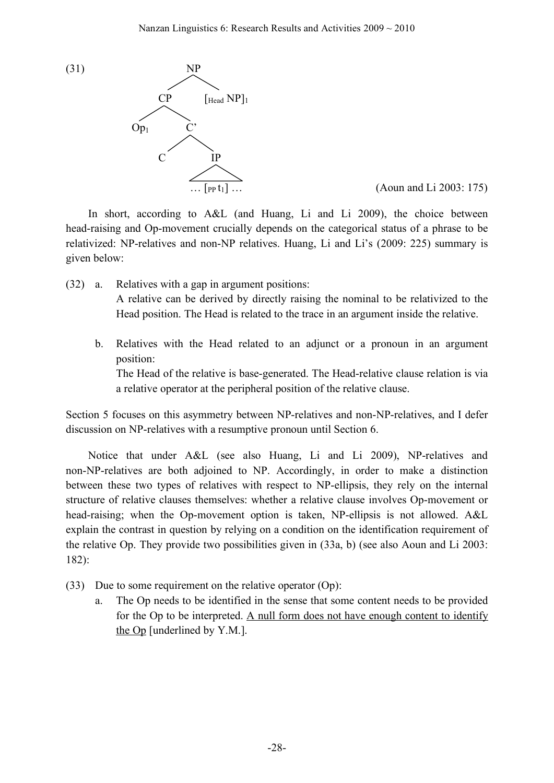

 $(Aoun and Li 2003: 175)$ 

In short, according to A&L (and Huang, Li and Li 2009), the choice between head-raising and Op-movement crucially depends on the categorical status of a phrase to be relativized: NP-relatives and non-NP relatives. Huang, Li and Li's (2009: 225) summary is given below:

- (32) a. Relatives with a gap in argument positions: A relative can be derived by directly raising the nominal to be relativized to the Head position. The Head is related to the trace in an argument inside the relative.
	- b. Relatives with the Head related to an adjunct or a pronoun in an argument position:

The Head of the relative is base-generated. The Head-relative clause relation is via a relative operator at the peripheral position of the relative clause.

Section 5 focuses on this asymmetry between NP-relatives and non-NP-relatives, and I defer discussion on NP-relatives with a resumptive pronoun until Section 6.

Notice that under A&L (see also Huang, Li and Li 2009), NP-relatives and non-NP-relatives are both adjoined to NP. Accordingly, in order to make a distinction between these two types of relatives with respect to NP-ellipsis, they rely on the internal structure of relative clauses themselves: whether a relative clause involves Op-movement or head-raising; when the Op-movement option is taken, NP-ellipsis is not allowed. A&L explain the contrast in question by relying on a condition on the identification requirement of the relative Op. They provide two possibilities given in (33a, b) (see also Aoun and Li 2003: 182):

- (33) Due to some requirement on the relative operator (Op):
	- a. The Op needs to be identified in the sense that some content needs to be provided for the Op to be interpreted. A null form does not have enough content to identify the Op [underlined by Y.M.].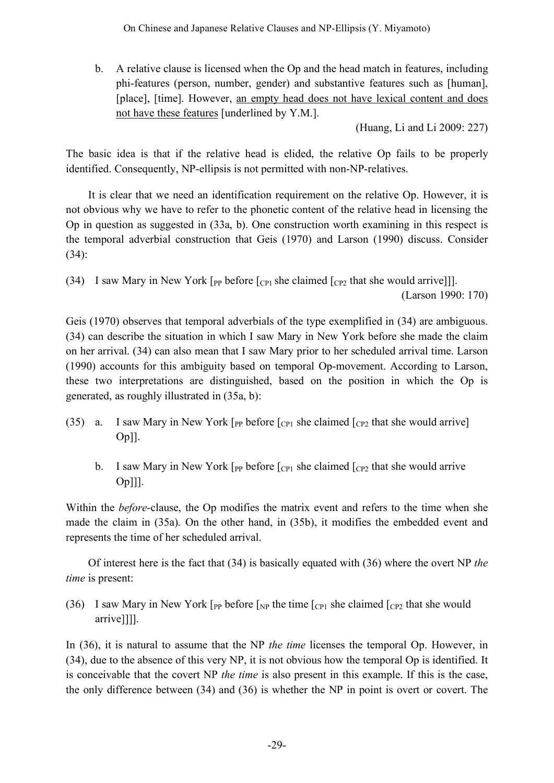b. A relative clause is licensed when the Op and the head match in features, including phi-features (person, number, gender) and substantive features such as [human], [place], [time]. However, an empty head does not have lexical content and does not have these features [underlined by Y.M.].

(Huang, Li and Li 2009: 227)

The basic idea is that if the relative head is elided, the relative Op fails to be properly identified. Consequently, NP-ellipsis is not permitted with non-NP-relatives.

It is clear that we need an identification requirement on the relative Op. However, it is not obvious why we have to refer to the phonetic content of the relative head in licensing the Op in question as suggested in (33a, b). One construction worth examining in this respect is the temporal adverbial construction that Geis (1970) and Larson (1990) discuss. Consider (34):

(34) I saw Mary in New York  $\lceil_{PP}$  before  $\lceil_{CP1}$  she claimed  $\lceil_{CP2}$  that she would arrive]]. (Larson 1990: 170)

Geis (1970) observes that temporal adverbials of the type exemplified in (34) are ambiguous. (34) can describe the situation in which I saw Mary in New York before she made the claim on her arrival. (34) can also mean that I saw Mary prior to her scheduled arrival time. Larson (1990) accounts for this ambiguity based on temporal Op-movement. According to Larson, these two interpretations are distinguished, based on the position in which the Op is generated, as roughly illustrated in (35a, b):

- (35) a. I saw Mary in New York  $\lceil_{PP}$  before  $\lceil_{CP1}$  she claimed  $\lceil_{CP2}$  that she would arrive Op]].
	- b. I saw Mary in New York  $\lceil_{PP}$  before  $\lceil_{CP1}$  she claimed  $\lceil_{CP2}$  that she would arrive Op]]].

Within the *before*-clause, the Op modifies the matrix event and refers to the time when she made the claim in (35a). On the other hand, in (35b), it modifies the embedded event and represents the time of her scheduled arrival.

Of interest here is the fact that (34) is basically equated with (36) where the overt NP *the time* is present:

(36) I saw Mary in New York [ $_{PP}$  before [ $_{NP}$  the time [ $_{CP1}$  she claimed [ $_{CP2}$  that she would arrive]]]].

In (36), it is natural to assume that the NP *the time* licenses the temporal Op. However, in (34), due to the absence of this very NP, it is not obvious how the temporal Op is identified. It is conceivable that the covert NP *the time* is also present in this example. If this is the case, the only difference between (34) and (36) is whether the NP in point is overt or covert. The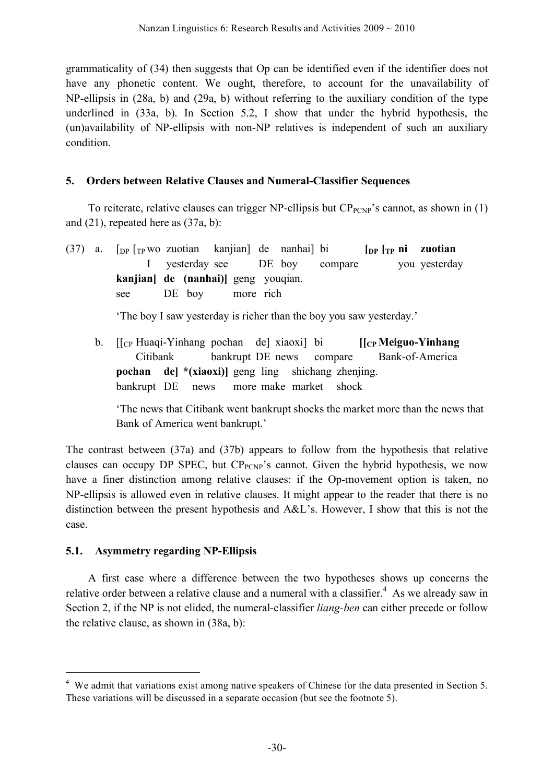grammaticality of (34) then suggests that Op can be identified even if the identifier does not have any phonetic content. We ought, therefore, to account for the unavailability of NP-ellipsis in (28a, b) and (29a, b) without referring to the auxiliary condition of the type underlined in (33a, b). In Section 5.2, I show that under the hybrid hypothesis, the (un)availability of NP-ellipsis with non-NP relatives is independent of such an auxiliary condition.

## **5. Orders between Relative Clauses and Numeral-Classifier Sequences**

To reiterate, relative clauses can trigger NP-ellipsis but  $CP_{PCNP}$ 's cannot, as shown in (1) and (21), repeated here as (37a, b):

(37) a.  $\lceil \frac{D}{2} \rceil$  [TP WO zuotian kanjian] de nanhai] bi  $\lceil \frac{D}{2} \rceil$  **[DP**  $\lceil \frac{1}{2} \rceil$  **zuotian** I yesterday see DE boy compare you yesterday **kanjian] de (nanhai)]** geng youqian. see DE boy more rich

'The boy I saw yesterday is richer than the boy you saw yesterday.'

b. [[CP Huaqi-Yinhang pochan de] xiaoxi] bi **[[CP Meiguo-Yinhang** Citibank bankrupt DE news compare Bank-of-America **pochan de] \*(xiaoxi)]** geng ling shichang zhenjing. bankrupt DE news more make market shock

'The news that Citibank went bankrupt shocks the market more than the news that Bank of America went bankrupt.'

The contrast between (37a) and (37b) appears to follow from the hypothesis that relative clauses can occupy DP SPEC, but  $CP_{PCNP}$ 's cannot. Given the hybrid hypothesis, we now have a finer distinction among relative clauses: if the Op-movement option is taken, no NP-ellipsis is allowed even in relative clauses. It might appear to the reader that there is no distinction between the present hypothesis and A&L's. However, I show that this is not the case.

## **5.1. Asymmetry regarding NP-Ellipsis**

A first case where a difference between the two hypotheses shows up concerns the relative order between a relative clause and a numeral with a classifier.<sup>4</sup> As we already saw in Section 2, if the NP is not elided, the numeral-classifier *liang-ben* can either precede or follow the relative clause, as shown in (38a, b):

<sup>&</sup>lt;sup>4</sup> We admit that variations exist among native speakers of Chinese for the data presented in Section 5. These variations will be discussed in a separate occasion (but see the footnote 5).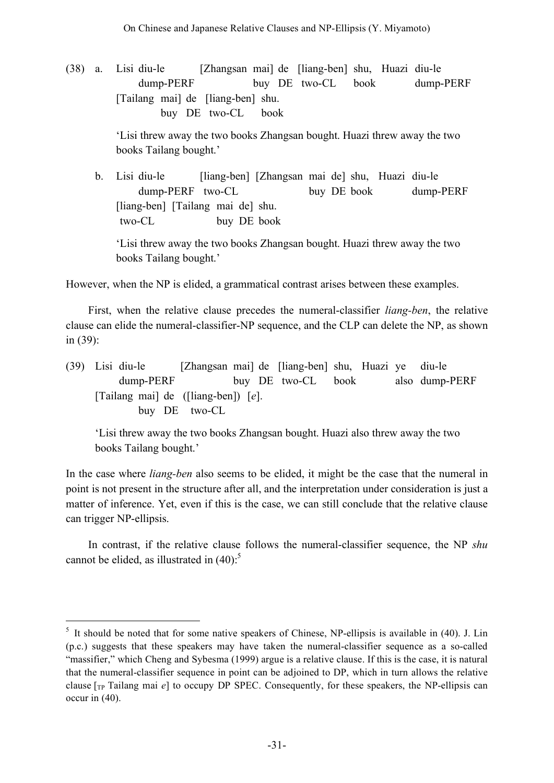(38) a. Lisi diu-le [Zhangsan mai] de [liang-ben] shu, Huazi diu-le dump-PERF buy DE two-CL book dump-PERF [Tailang mai] de [liang-ben] shu. buy DE two-CL book

> 'Lisi threw away the two books Zhangsan bought. Huazi threw away the two books Tailang bought.'

b. Lisi diu-le [liang-ben] [Zhangsan mai de] shu, Huazi diu-le dump-PERF two-CL buy DE book dump-PERF [liang-ben] [Tailang mai de] shu. two-CL buy DE book

'Lisi threw away the two books Zhangsan bought. Huazi threw away the two books Tailang bought.'

However, when the NP is elided, a grammatical contrast arises between these examples.

First, when the relative clause precedes the numeral-classifier *liang-ben*, the relative clause can elide the numeral-classifier-NP sequence, and the CLP can delete the NP, as shown in (39):

(39) Lisi diu-le [Zhangsan mai] de [liang-ben] shu, Huazi ye diu-le dump-PERF buy DE two-CL book also dump-PERF [Tailang mai] de ([liang-ben]) [*e*]. buy DE two-CL

'Lisi threw away the two books Zhangsan bought. Huazi also threw away the two books Tailang bought.'

In the case where *liang-ben* also seems to be elided, it might be the case that the numeral in point is not present in the structure after all, and the interpretation under consideration is just a matter of inference. Yet, even if this is the case, we can still conclude that the relative clause can trigger NP-ellipsis.

In contrast, if the relative clause follows the numeral-classifier sequence, the NP *shu* cannot be elided, as illustrated in  $(40)$ :

<sup>&</sup>lt;sup>5</sup> It should be noted that for some native speakers of Chinese, NP-ellipsis is available in (40). J. Lin (p.c.) suggests that these speakers may have taken the numeral-classifier sequence as a so-called "massifier," which Cheng and Sybesma (1999) argue is a relative clause. If this is the case, it is natural that the numeral-classifier sequence in point can be adjoined to DP, which in turn allows the relative clause [TP Tailang mai *e*] to occupy DP SPEC. Consequently, for these speakers, the NP-ellipsis can occur in (40).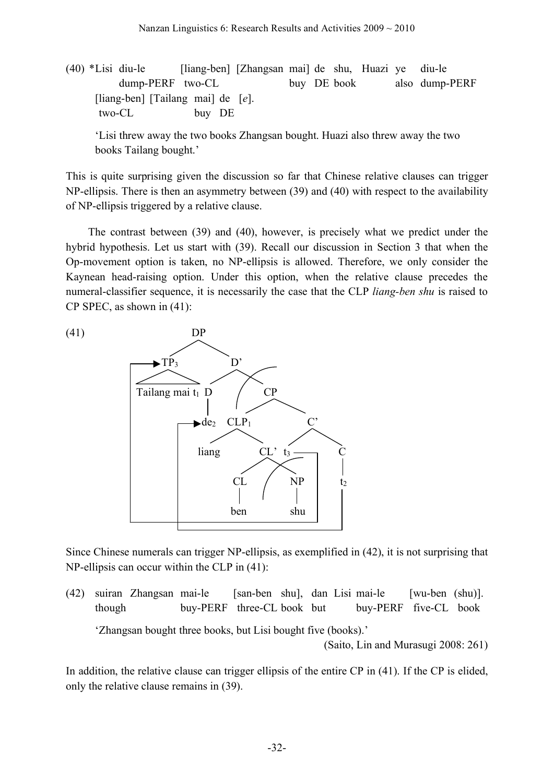(40) \*Lisi diu-le [liang-ben] [Zhangsan mai] de shu, Huazi ye diu-le dump-PERF two-CL buy DE book also dump-PERF [liang-ben] [Tailang mai] de [*e*]. two-CL buy DE

'Lisi threw away the two books Zhangsan bought. Huazi also threw away the two books Tailang bought.'

This is quite surprising given the discussion so far that Chinese relative clauses can trigger NP-ellipsis. There is then an asymmetry between (39) and (40) with respect to the availability of NP-ellipsis triggered by a relative clause.

The contrast between (39) and (40), however, is precisely what we predict under the hybrid hypothesis. Let us start with (39). Recall our discussion in Section 3 that when the Op-movement option is taken, no NP-ellipsis is allowed. Therefore, we only consider the Kaynean head-raising option. Under this option, when the relative clause precedes the numeral-classifier sequence, it is necessarily the case that the CLP *liang-ben shu* is raised to CP SPEC, as shown in (41):



Since Chinese numerals can trigger NP-ellipsis, as exemplified in (42), it is not surprising that NP-ellipsis can occur within the CLP in (41):

(42) suiran Zhangsan mai-le [san-ben shu], dan Lisi mai-le [wu-ben (shu)]. though buy-PERF three-CL book but buy-PERF five-CL book 'Zhangsan bought three books, but Lisi bought five (books).' (Saito, Lin and Murasugi 2008: 261)

In addition, the relative clause can trigger ellipsis of the entire CP in (41). If the CP is elided, only the relative clause remains in (39).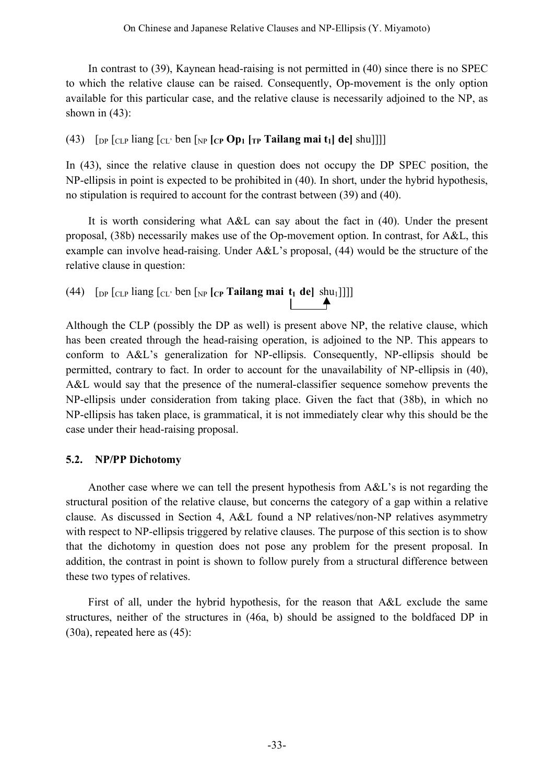In contrast to (39), Kaynean head-raising is not permitted in (40) since there is no SPEC to which the relative clause can be raised. Consequently, Op-movement is the only option available for this particular case, and the relative clause is necessarily adjoined to the NP, as shown in  $(43)$ :

(43)  $\left[\text{DP} \left[ \text{CLP} \right] \text{liang} \left[ \text{CLP} \right] \text{ ben} \left[ \text{NP} \left[ \text{CP} \right] \text{Op}_1 \left[ \text{TP} \right] \text{Tationalianganai } t_1 \right] \text{ del } \text{shu} \right]$ 

In (43), since the relative clause in question does not occupy the DP SPEC position, the NP-ellipsis in point is expected to be prohibited in (40). In short, under the hybrid hypothesis, no stipulation is required to account for the contrast between (39) and (40).

It is worth considering what A&L can say about the fact in (40). Under the present proposal, (38b) necessarily makes use of the Op-movement option. In contrast, for A&L, this example can involve head-raising. Under A&L's proposal, (44) would be the structure of the relative clause in question:

(44)  $\left[\text{DP} \left[\text{CLP} \text{ Jiang} \left[\text{CL} \cdot \text{ben} \left[\text{NP} \left[\text{CP} \text{Tailang} \text{mai} \text{ t}_1 \text{ de} \right] \text{ shu}_1 \right]\right]\right]\right]$ 

Although the CLP (possibly the DP as well) is present above NP, the relative clause, which has been created through the head-raising operation, is adjoined to the NP. This appears to conform to A&L's generalization for NP-ellipsis. Consequently, NP-ellipsis should be permitted, contrary to fact. In order to account for the unavailability of NP-ellipsis in (40), A&L would say that the presence of the numeral-classifier sequence somehow prevents the NP-ellipsis under consideration from taking place. Given the fact that (38b), in which no NP-ellipsis has taken place, is grammatical, it is not immediately clear why this should be the case under their head-raising proposal.

## **5.2. NP/PP Dichotomy**

Another case where we can tell the present hypothesis from A&L's is not regarding the structural position of the relative clause, but concerns the category of a gap within a relative clause. As discussed in Section 4, A&L found a NP relatives/non-NP relatives asymmetry with respect to NP-ellipsis triggered by relative clauses. The purpose of this section is to show that the dichotomy in question does not pose any problem for the present proposal. In addition, the contrast in point is shown to follow purely from a structural difference between these two types of relatives.

First of all, under the hybrid hypothesis, for the reason that A&L exclude the same structures, neither of the structures in (46a, b) should be assigned to the boldfaced DP in (30a), repeated here as (45):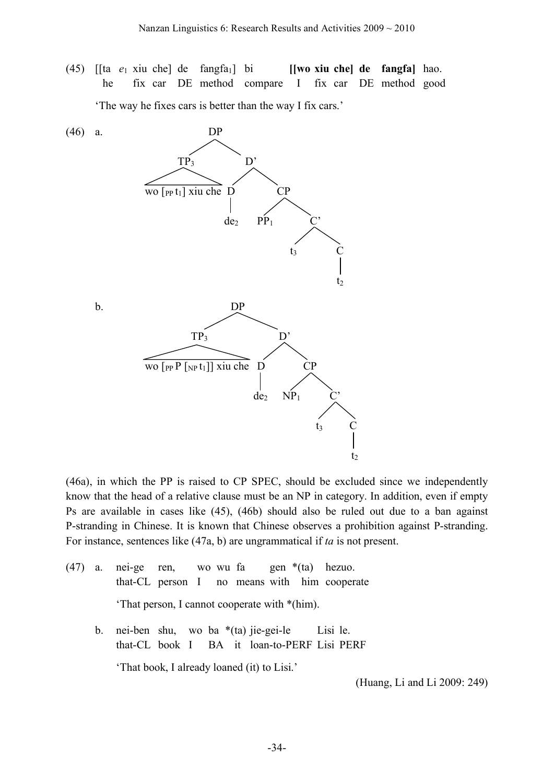(45) [[ta *e*<sup>1</sup> xiu che] de fangfa1] bi **[[wo xiu che] de fangfa]** hao. he fix car DE method compare I fix car DE method good

'The way he fixes cars is better than the way I fix cars.'



(46a), in which the PP is raised to CP SPEC, should be excluded since we independently know that the head of a relative clause must be an NP in category. In addition, even if empty Ps are available in cases like (45), (46b) should also be ruled out due to a ban against P-stranding in Chinese. It is known that Chinese observes a prohibition against P-stranding. For instance, sentences like (47a, b) are ungrammatical if *ta* is not present.

- (47) a. nei-ge ren, wo wu fa gen \*(ta) hezuo. that-CL person I no means with him cooperate 'That person, I cannot cooperate with \*(him). b. nei-ben shu, wo ba \*(ta) jie-gei-le Lisi le.
	- that-CL book I BA it loan-to-PERF Lisi PERF 'That book, I already loaned (it) to Lisi.'

(Huang, Li and Li 2009: 249)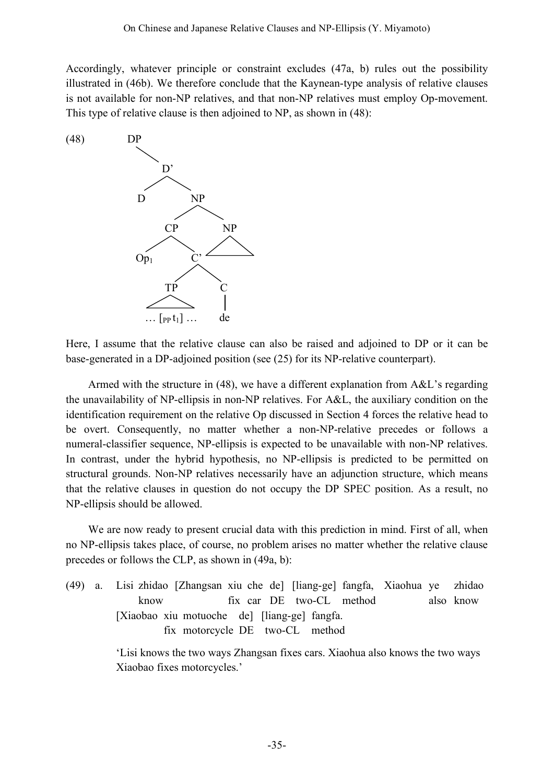Accordingly, whatever principle or constraint excludes (47a, b) rules out the possibility illustrated in (46b). We therefore conclude that the Kaynean-type analysis of relative clauses is not available for non-NP relatives, and that non-NP relatives must employ Op-movement. This type of relative clause is then adjoined to NP, as shown in (48):



Here, I assume that the relative clause can also be raised and adjoined to DP or it can be base-generated in a DP-adjoined position (see (25) for its NP-relative counterpart).

Armed with the structure in (48), we have a different explanation from A&L's regarding the unavailability of NP-ellipsis in non-NP relatives. For A&L, the auxiliary condition on the identification requirement on the relative Op discussed in Section 4 forces the relative head to be overt. Consequently, no matter whether a non-NP-relative precedes or follows a numeral-classifier sequence, NP-ellipsis is expected to be unavailable with non-NP relatives. In contrast, under the hybrid hypothesis, no NP-ellipsis is predicted to be permitted on structural grounds. Non-NP relatives necessarily have an adjunction structure, which means that the relative clauses in question do not occupy the DP SPEC position. As a result, no NP-ellipsis should be allowed.

We are now ready to present crucial data with this prediction in mind. First of all, when no NP-ellipsis takes place, of course, no problem arises no matter whether the relative clause precedes or follows the CLP, as shown in (49a, b):

(49) a. Lisi zhidao [Zhangsan xiu che de] [liang-ge] fangfa, Xiaohua ye zhidao know fix car DE two-CL method also know [Xiaobao xiu motuoche de] [liang-ge] fangfa. fix motorcycle DE two-CL method

> 'Lisi knows the two ways Zhangsan fixes cars. Xiaohua also knows the two ways Xiaobao fixes motorcycles.'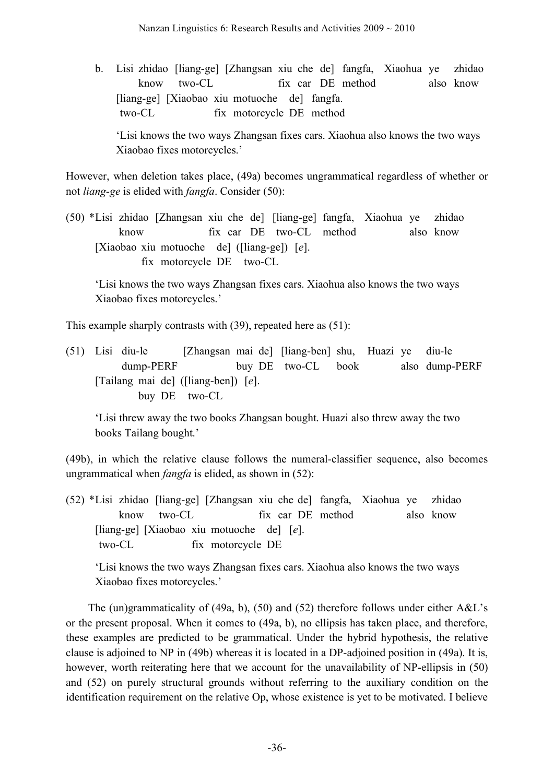b. Lisi zhidao [liang-ge] [Zhangsan xiu che de] fangfa, Xiaohua ye zhidao know two-CL fix car DE method also know [liang-ge] [Xiaobao xiu motuoche de] fangfa. two-CL fix motorcycle DE method

'Lisi knows the two ways Zhangsan fixes cars. Xiaohua also knows the two ways Xiaobao fixes motorcycles.'

However, when deletion takes place, (49a) becomes ungrammatical regardless of whether or not *liang-ge* is elided with *fangfa*. Consider (50):

(50) \*Lisi zhidao [Zhangsan xiu che de] [liang-ge] fangfa, Xiaohua ye zhidao know fix car DE two-CL method also know [Xiaobao xiu motuoche de] ([liang-ge]) [*e*]. fix motorcycle DE two-CL

'Lisi knows the two ways Zhangsan fixes cars. Xiaohua also knows the two ways Xiaobao fixes motorcycles.'

This example sharply contrasts with (39), repeated here as (51):

(51) Lisi diu-le [Zhangsan mai de] [liang-ben] shu, Huazi ye diu-le dump-PERF buy DE two-CL book also dump-PERF [Tailang mai de] ([liang-ben]) [*e*]. buy DE two-CL

'Lisi threw away the two books Zhangsan bought. Huazi also threw away the two books Tailang bought.'

(49b), in which the relative clause follows the numeral-classifier sequence, also becomes ungrammatical when *fangfa* is elided, as shown in (52):

(52) \*Lisi zhidao [liang-ge] [Zhangsan xiu che de] fangfa, Xiaohua ye zhidao know two-CL fix car DE method also know [liang-ge] [Xiaobao xiu motuoche de] [*e*]. two-CL fix motorcycle DE

'Lisi knows the two ways Zhangsan fixes cars. Xiaohua also knows the two ways Xiaobao fixes motorcycles.'

The (un)grammaticality of (49a, b), (50) and (52) therefore follows under either A&L's or the present proposal. When it comes to (49a, b), no ellipsis has taken place, and therefore, these examples are predicted to be grammatical. Under the hybrid hypothesis, the relative clause is adjoined to NP in (49b) whereas it is located in a DP-adjoined position in (49a). It is, however, worth reiterating here that we account for the unavailability of NP-ellipsis in (50) and (52) on purely structural grounds without referring to the auxiliary condition on the identification requirement on the relative Op, whose existence is yet to be motivated. I believe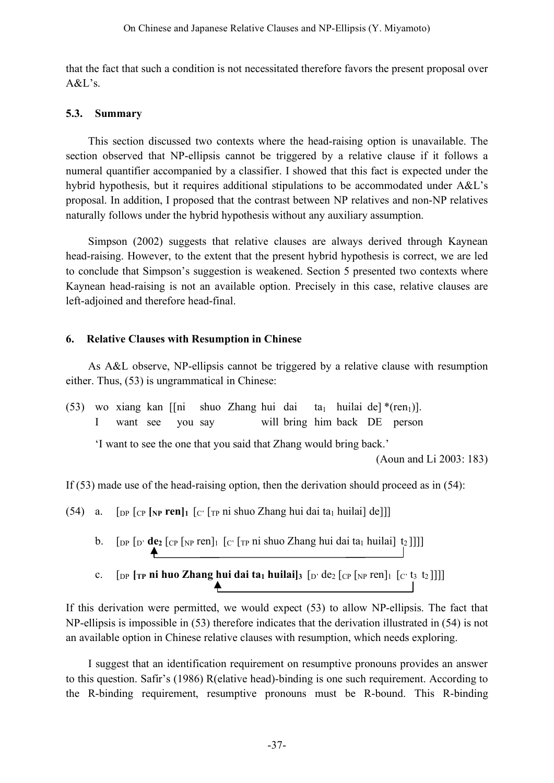that the fact that such a condition is not necessitated therefore favors the present proposal over A&L's.

### **5.3. Summary**

This section discussed two contexts where the head-raising option is unavailable. The section observed that NP-ellipsis cannot be triggered by a relative clause if it follows a numeral quantifier accompanied by a classifier. I showed that this fact is expected under the hybrid hypothesis, but it requires additional stipulations to be accommodated under A&L's proposal. In addition, I proposed that the contrast between NP relatives and non-NP relatives naturally follows under the hybrid hypothesis without any auxiliary assumption.

Simpson (2002) suggests that relative clauses are always derived through Kaynean head-raising. However, to the extent that the present hybrid hypothesis is correct, we are led to conclude that Simpson's suggestion is weakened. Section 5 presented two contexts where Kaynean head-raising is not an available option. Precisely in this case, relative clauses are left-adjoined and therefore head-final.

### **6. Relative Clauses with Resumption in Chinese**

As A&L observe, NP-ellipsis cannot be triggered by a relative clause with resumption either. Thus, (53) is ungrammatical in Chinese:

(53) wo xiang kan [[ni shuo Zhang hui dai ta<sub>1</sub> huilai de] \*(ren<sub>1</sub>)]. I want see you say will bring him back DE person

'I want to see the one that you said that Zhang would bring back.'

(Aoun and Li 2003: 183)

If (53) made use of the head-raising option, then the derivation should proceed as in (54):

(54) a. [DP [CP **[NP ren]1** [C' [TP ni shuo Zhang hui dai ta1 huilai] de]]]

- b.  $\left[\text{DP } [D' \text{ de}_2 [C] \text{ [NP } T \text{ en}]_1 \right] \left[\text{C'} [T \text{ P } \text{Pi} \text{ shuo Zhang hui dai ta}_1 \text{ huilai} \right] \left[\text{t}_2 \right]] \right]$
- c.  $[\text{DP } [\text{TP} \text{ ni } \text{huo } \text{Zhang } \text{hui } \text{dai } \text{ta}_1 \text{ huilai}]_3 [\text{D'} \text{de}_2 [\text{CP } [\text{NP } \text{ren}]_1 [\text{C'} \text{t}_3 \text{ t}_2]]]]$

If this derivation were permitted, we would expect (53) to allow NP-ellipsis. The fact that NP-ellipsis is impossible in (53) therefore indicates that the derivation illustrated in (54) is not an available option in Chinese relative clauses with resumption, which needs exploring.

I suggest that an identification requirement on resumptive pronouns provides an answer to this question. Safir's (1986) R(elative head)-binding is one such requirement. According to the R-binding requirement, resumptive pronouns must be R-bound. This R-binding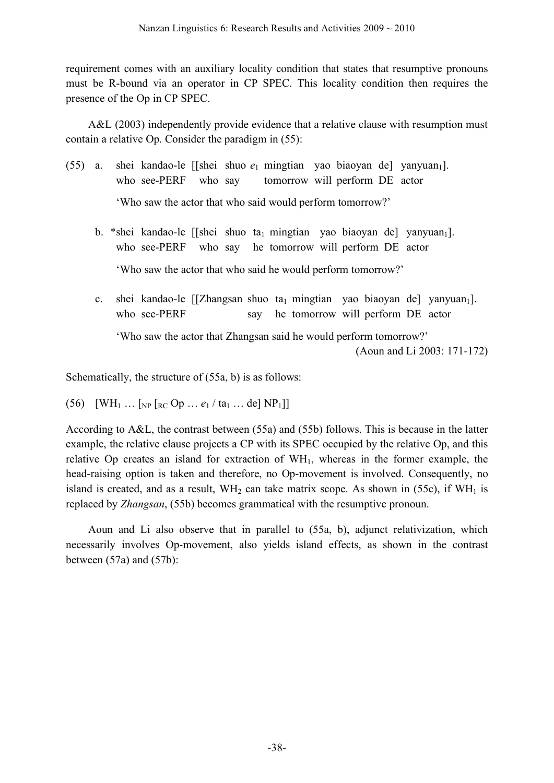requirement comes with an auxiliary locality condition that states that resumptive pronouns must be R-bound via an operator in CP SPEC. This locality condition then requires the presence of the Op in CP SPEC.

A&L (2003) independently provide evidence that a relative clause with resumption must contain a relative Op. Consider the paradigm in (55):

- (55) a. shei kandao-le [[shei shuo  $e_1$  mingtian yao biaoyan de] yanyuan<sub>1</sub>]. who see-PERF who say tomorrow will perform DE actor 'Who saw the actor that who said would perform tomorrow?'
	- b. \*shei kandao-le [[shei shuo ta<sub>1</sub> mingtian yao biaoyan de] yanyuan<sub>1</sub>]. who see-PERF who say he tomorrow will perform DE actor 'Who saw the actor that who said he would perform tomorrow?'
	- c. shei kandao-le [[Zhangsan shuo ta<sub>1</sub> mingtian yao biaoyan de] yanyuan<sub>1</sub>]. who see-PERF say he tomorrow will perform DE actor

'Who saw the actor that Zhangsan said he would perform tomorrow?'

(Aoun and Li 2003: 171-172)

Schematically, the structure of (55a, b) is as follows:

(56)  $[WH_1 ... [HP_R C Op ... e_1 / ta_1 ... de] NP_1]$ 

According to A&L, the contrast between (55a) and (55b) follows. This is because in the latter example, the relative clause projects a CP with its SPEC occupied by the relative Op, and this relative Op creates an island for extraction of WH<sub>1</sub>, whereas in the former example, the head-raising option is taken and therefore, no Op-movement is involved. Consequently, no island is created, and as a result,  $WH_2$  can take matrix scope. As shown in (55c), if  $WH_1$  is replaced by *Zhangsan*, (55b) becomes grammatical with the resumptive pronoun.

Aoun and Li also observe that in parallel to (55a, b), adjunct relativization, which necessarily involves Op-movement, also yields island effects, as shown in the contrast between (57a) and (57b):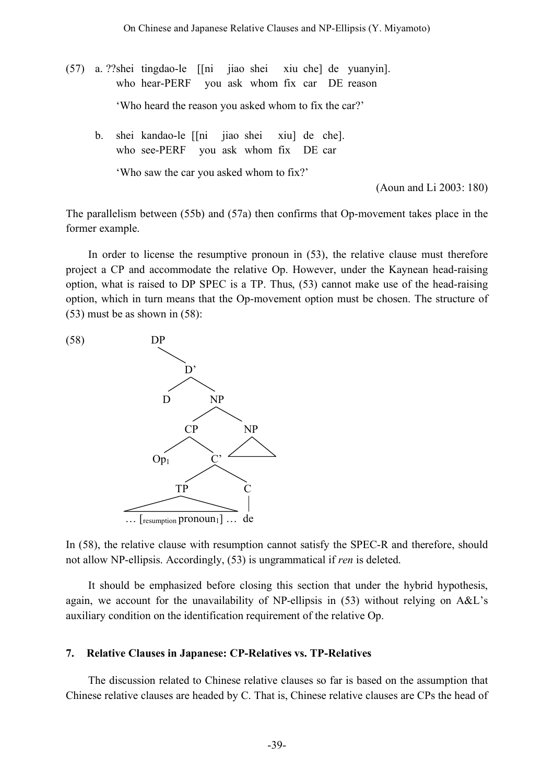- (57) a. ??shei tingdao-le [[ni jiao shei xiu che] de yuanyin]. who hear-PERF you ask whom fix car DE reason 'Who heard the reason you asked whom to fix the car?'
	- b. shei kandao-le [[ni jiao shei xiu] de che]. who see-PERF you ask whom fix DE car

'Who saw the car you asked whom to fix?'

(Aoun and Li 2003: 180)

The parallelism between (55b) and (57a) then confirms that Op-movement takes place in the former example.

In order to license the resumptive pronoun in (53), the relative clause must therefore project a CP and accommodate the relative Op. However, under the Kaynean head-raising option, what is raised to DP SPEC is a TP. Thus, (53) cannot make use of the head-raising option, which in turn means that the Op-movement option must be chosen. The structure of (53) must be as shown in (58):



In (58), the relative clause with resumption cannot satisfy the SPEC-R and therefore, should not allow NP-ellipsis. Accordingly, (53) is ungrammatical if *ren* is deleted.

It should be emphasized before closing this section that under the hybrid hypothesis, again, we account for the unavailability of NP-ellipsis in (53) without relying on A&L's auxiliary condition on the identification requirement of the relative Op.

#### **7. Relative Clauses in Japanese: CP-Relatives vs. TP-Relatives**

The discussion related to Chinese relative clauses so far is based on the assumption that Chinese relative clauses are headed by C. That is, Chinese relative clauses are CPs the head of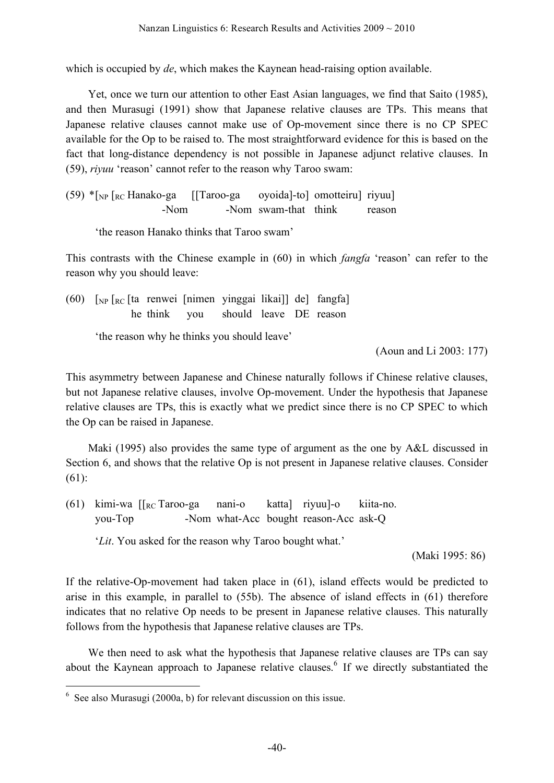which is occupied by *de*, which makes the Kaynean head-raising option available.

Yet, once we turn our attention to other East Asian languages, we find that Saito (1985), and then Murasugi (1991) show that Japanese relative clauses are TPs. This means that Japanese relative clauses cannot make use of Op-movement since there is no CP SPEC available for the Op to be raised to. The most straightforward evidence for this is based on the fact that long-distance dependency is not possible in Japanese adjunct relative clauses. In (59), *riyuu* 'reason' cannot refer to the reason why Taroo swam:

 $(59)$  \* $\lceil_{NP}$   $\lceil_{RC}$  Hanako-ga  $\lceil$  [Taroo-ga oyoida]-to] omotteiru] riyuu] -Nom  $-Nom$  swam-that think reason

'the reason Hanako thinks that Taroo swam'

This contrasts with the Chinese example in (60) in which *fangfa* 'reason' can refer to the reason why you should leave:

(60)  $\lceil_{NP} \rceil_{RC}$  [ta renwei [nimen yinggai likai]] de] fangfa] he think you should leave DE reason

'the reason why he thinks you should leave'

(Aoun and Li 2003: 177)

This asymmetry between Japanese and Chinese naturally follows if Chinese relative clauses, but not Japanese relative clauses, involve Op-movement. Under the hypothesis that Japanese relative clauses are TPs, this is exactly what we predict since there is no CP SPEC to which the Op can be raised in Japanese.

Maki (1995) also provides the same type of argument as the one by A&L discussed in Section 6, and shows that the relative Op is not present in Japanese relative clauses. Consider (61):

(61) kimi-wa [[RC Taroo-ga nani-o katta] riyuu]-o kiita-no. you-Top -Nom what-Acc bought reason-Acc ask-Q

'*Lit*. You asked for the reason why Taroo bought what.'

(Maki 1995: 86)

If the relative-Op-movement had taken place in (61), island effects would be predicted to arise in this example, in parallel to (55b). The absence of island effects in (61) therefore indicates that no relative Op needs to be present in Japanese relative clauses. This naturally follows from the hypothesis that Japanese relative clauses are TPs.

We then need to ask what the hypothesis that Japanese relative clauses are TPs can say about the Kaynean approach to Japanese relative clauses.<sup>6</sup> If we directly substantiated the

 $6$  See also Murasugi (2000a, b) for relevant discussion on this issue.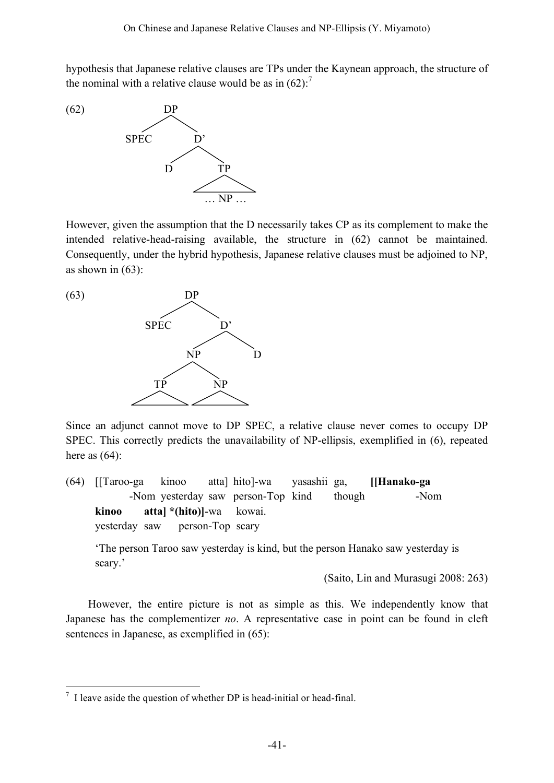hypothesis that Japanese relative clauses are TPs under the Kaynean approach, the structure of the nominal with a relative clause would be as in  $(62)$ .<sup>7</sup>



However, given the assumption that the D necessarily takes CP as its complement to make the intended relative-head-raising available, the structure in (62) cannot be maintained. Consequently, under the hybrid hypothesis, Japanese relative clauses must be adjoined to NP, as shown in  $(63)$ :



Since an adjunct cannot move to DP SPEC, a relative clause never comes to occupy DP SPEC. This correctly predicts the unavailability of NP-ellipsis, exemplified in (6), repeated here as  $(64)$ :

(64) [[Taroo-ga kinoo atta] hito]-wa yasashii ga, **[[Hanako-ga** -Nom yesterday saw person-Top kind though **-Nom kinoo atta] \*(hito)]**-wa kowai. yesterday saw **person-Top** scary

'The person Taroo saw yesterday is kind, but the person Hanako saw yesterday is scary.'

(Saito, Lin and Murasugi 2008: 263)

However, the entire picture is not as simple as this. We independently know that Japanese has the complementizer *no*. A representative case in point can be found in cleft sentences in Japanese, as exemplified in (65):

 $<sup>7</sup>$  I leave aside the question of whether DP is head-initial or head-final.</sup>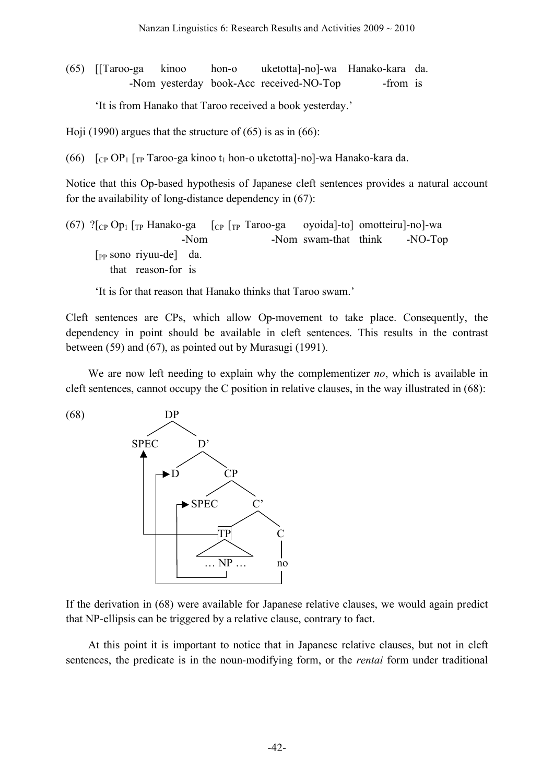(65) [[Taroo-ga kinoo hon-o uketotta]-no]-wa Hanako-kara da. -Nom yesterday book-Acc received-NO-Top -from is

'It is from Hanako that Taroo received a book yesterday.'

Hoji (1990) argues that the structure of  $(65)$  is as in  $(66)$ :

(66)  $\int_{CP} OP_1 \int_{TP} Taroo-ga kinoo t_1 hon-o uketotta]-no]-wa Hanako-kara da.$ 

Notice that this Op-based hypothesis of Japanese cleft sentences provides a natural account for the availability of long-distance dependency in (67):

(67) ? $[CP \text{Op}_1$  [TP Hanako-ga [CP [TP Taroo-ga oyoida]-to] omotteiru]-no]-wa -Nom swam-that think -NO-Top [PP sono riyuu-de] da. that reason-for is

'It is for that reason that Hanako thinks that Taroo swam.'

Cleft sentences are CPs, which allow Op-movement to take place. Consequently, the dependency in point should be available in cleft sentences. This results in the contrast between (59) and (67), as pointed out by Murasugi (1991).

We are now left needing to explain why the complementizer *no*, which is available in cleft sentences, cannot occupy the C position in relative clauses, in the way illustrated in (68):



If the derivation in (68) were available for Japanese relative clauses, we would again predict that NP-ellipsis can be triggered by a relative clause, contrary to fact.

At this point it is important to notice that in Japanese relative clauses, but not in cleft sentences, the predicate is in the noun-modifying form, or the *rentai* form under traditional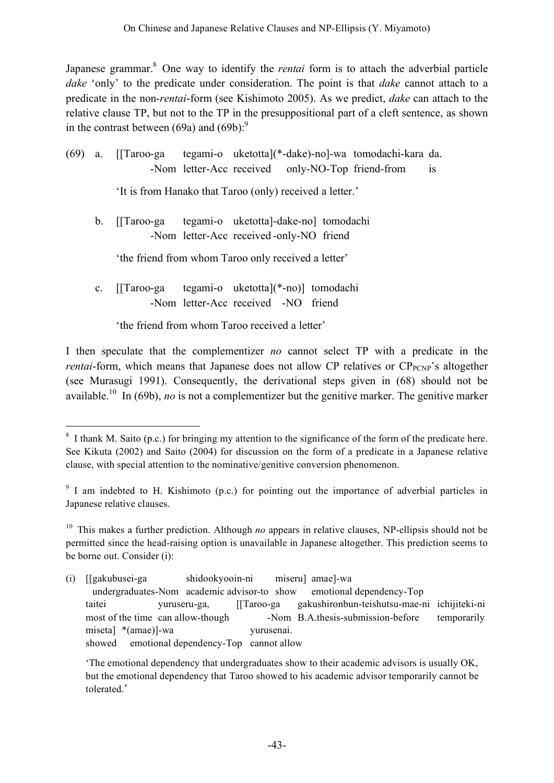Japanese grammar. <sup>8</sup> One way to identify the *rentai* form is to attach the adverbial particle *dake* 'only' to the predicate under consideration. The point is that *dake* cannot attach to a predicate in the non-*rentai*-form (see Kishimoto 2005). As we predict, *dake* can attach to the relative clause TP, but not to the TP in the presuppositional part of a cleft sentence, as shown in the contrast between (69a) and  $(69b)$ :

| (69) |             | a. [[Taroo-ga tegami-o uketotta](*-dake)-no]-wa tomodachi-kara da.<br>is<br>-Nom letter-Acc received only-NO-Top friend-from |
|------|-------------|------------------------------------------------------------------------------------------------------------------------------|
|      |             | 'It is from Hanako that Taroo (only) received a letter.'                                                                     |
|      | $b_{\cdot}$ | tegami-o uketotta dake-no tomodachi<br>-Nom letter-Acc received-only-NO friend                                               |
|      |             | 'the friend from whom Taroo only received a letter'                                                                          |
|      | $c_{\cdot}$ | tegami-o uketotta](*-no)] tomodachi<br>[ $Taroo-ga$ ]<br>-Nom letter-Acc received -NO friend                                 |
|      |             | 'the friend from whom Taroo received a letter'                                                                               |

I then speculate that the complementizer *no* cannot select TP with a predicate in the *rentai*-form, which means that Japanese does not allow CP relatives or  $CP_{PCNP}$ 's altogether (see Murasugi 1991). Consequently, the derivational steps given in (68) should not be available.<sup>10</sup> In (69b), *no* is not a complementizer but the genitive marker. The genitive marker

<sup>&</sup>lt;sup>8</sup> I thank M. Saito (p.c.) for bringing my attention to the significance of the form of the predicate here. See Kikuta (2002) and Saito (2004) for discussion on the form of a predicate in a Japanese relative clause, with special attention to the nominative/genitive conversion phenomenon.

<sup>&</sup>lt;sup>9</sup> I am indebted to H. Kishimoto (p.c.) for pointing out the importance of adverbial particles in Japanese relative clauses.

<sup>10</sup> This makes a further prediction. Although *no* appears in relative clauses, NP-ellipsis should not be permitted since the head-raising option is unavailable in Japanese altogether. This prediction seems to be borne out. Consider (i):

<sup>(</sup>i) [[gakubusei-ga shidookyooin-ni miseru] amae]-wa [[undergraduates-Nom academic advisor-to show emotional dependency-Top taitei yuruseru-ga, [[Taroo-ga gakushironbun-teishutsu-mae-ni ichijiteki-ni most of the time can allow-though [Magnon-Nom B.A.thesis-submission-before temporarily miseta] \*(amae)]-wa yurusenai. showed emotional dependency-Top cannot allow

<sup>&#</sup>x27;The emotional dependency that undergraduates show to their academic advisors is usually OK, but the emotional dependency that Taroo showed to his academic advisor temporarily cannot be tolerated.'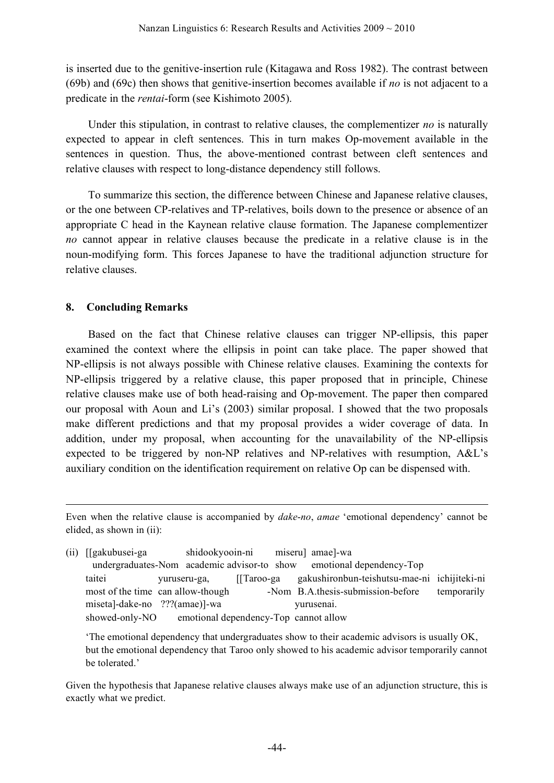is inserted due to the genitive-insertion rule (Kitagawa and Ross 1982). The contrast between (69b) and (69c) then shows that genitive-insertion becomes available if *no* is not adjacent to a predicate in the *rentai*-form (see Kishimoto 2005).

Under this stipulation, in contrast to relative clauses, the complementizer *no* is naturally expected to appear in cleft sentences. This in turn makes Op-movement available in the sentences in question. Thus, the above-mentioned contrast between cleft sentences and relative clauses with respect to long-distance dependency still follows.

To summarize this section, the difference between Chinese and Japanese relative clauses, or the one between CP-relatives and TP-relatives, boils down to the presence or absence of an appropriate C head in the Kaynean relative clause formation. The Japanese complementizer *no* cannot appear in relative clauses because the predicate in a relative clause is in the noun-modifying form. This forces Japanese to have the traditional adjunction structure for relative clauses.

## **8. Concluding Remarks**

<u>.</u>

Based on the fact that Chinese relative clauses can trigger NP-ellipsis, this paper examined the context where the ellipsis in point can take place. The paper showed that NP-ellipsis is not always possible with Chinese relative clauses. Examining the contexts for NP-ellipsis triggered by a relative clause, this paper proposed that in principle, Chinese relative clauses make use of both head-raising and Op-movement. The paper then compared our proposal with Aoun and Li's (2003) similar proposal. I showed that the two proposals make different predictions and that my proposal provides a wider coverage of data. In addition, under my proposal, when accounting for the unavailability of the NP-ellipsis expected to be triggered by non-NP relatives and NP-relatives with resumption, A&L's auxiliary condition on the identification requirement on relative Op can be dispensed with.

Even when the relative clause is accompanied by *dake*-*no*, *amae* 'emotional dependency' cannot be elided, as shown in (ii):

(ii) [[gakubusei-ga shidookyooin-ni miseru] amae]-wa [[undergraduates-Nom academic advisor-to show emotional dependency-Top taitei yuruseru-ga, [[Taroo-ga gakushironbun-teishutsu-mae-ni ichijiteki-ni most of the time can allow-though and  $\sum_{n=1}^{\infty}$  -Nom B.A.thesis-submission-before temporarily miseta]-dake-no ???(amae)]-wa yurusenai. showed-only-NO emotional dependency-Top cannot allow

'The emotional dependency that undergraduates show to their academic advisors is usually OK, but the emotional dependency that Taroo only showed to his academic advisor temporarily cannot be tolerated.'

Given the hypothesis that Japanese relative clauses always make use of an adjunction structure, this is exactly what we predict.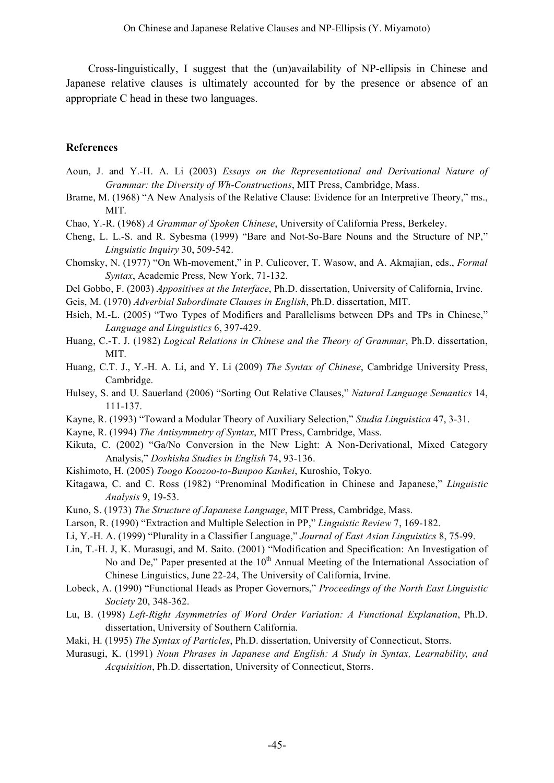Cross-linguistically, I suggest that the (un)availability of NP-ellipsis in Chinese and Japanese relative clauses is ultimately accounted for by the presence or absence of an appropriate C head in these two languages.

## **References**

- Aoun, J. and Y.-H. A. Li (2003) *Essays on the Representational and Derivational Nature of Grammar: the Diversity of Wh-Constructions*, MIT Press, Cambridge, Mass.
- Brame, M. (1968) "A New Analysis of the Relative Clause: Evidence for an Interpretive Theory," ms., MIT.
- Chao, Y.-R. (1968) *A Grammar of Spoken Chinese*, University of California Press, Berkeley.
- Cheng, L. L.-S. and R. Sybesma (1999) "Bare and Not-So-Bare Nouns and the Structure of NP," *Linguistic Inquiry* 30, 509-542.
- Chomsky, N. (1977) "On Wh-movement," in P. Culicover, T. Wasow, and A. Akmajian, eds., *Formal Syntax*, Academic Press, New York, 71-132.
- Del Gobbo, F. (2003) *Appositives at the Interface*, Ph.D. dissertation, University of California, Irvine.
- Geis, M. (1970) *Adverbial Subordinate Clauses in English*, Ph.D. dissertation, MIT.
- Hsieh, M.-L. (2005) "Two Types of Modifiers and Parallelisms between DPs and TPs in Chinese," *Language and Linguistics* 6, 397-429.
- Huang, C.-T. J. (1982) *Logical Relations in Chinese and the Theory of Grammar*, Ph.D. dissertation, MIT.
- Huang, C.T. J., Y.-H. A. Li, and Y. Li (2009) *The Syntax of Chinese*, Cambridge University Press, Cambridge.
- Hulsey, S. and U. Sauerland (2006) "Sorting Out Relative Clauses," *Natural Language Semantics* 14, 111-137.
- Kayne, R. (1993) "Toward a Modular Theory of Auxiliary Selection," *Studia Linguistica* 47, 3-31.
- Kayne, R. (1994) *The Antisymmetry of Syntax*, MIT Press, Cambridge, Mass.
- Kikuta, C. (2002) "Ga/No Conversion in the New Light: A Non-Derivational, Mixed Category Analysis," *Doshisha Studies in English* 74, 93-136.
- Kishimoto, H. (2005) *Toogo Koozoo-to-Bunpoo Kankei*, Kuroshio, Tokyo.
- Kitagawa, C. and C. Ross (1982) "Prenominal Modification in Chinese and Japanese," *Linguistic Analysis* 9, 19-53.
- Kuno, S. (1973) *The Structure of Japanese Language*, MIT Press, Cambridge, Mass.
- Larson, R. (1990) "Extraction and Multiple Selection in PP," *Linguistic Review* 7, 169-182.
- Li, Y.-H. A. (1999) "Plurality in a Classifier Language," *Journal of East Asian Linguistics* 8, 75-99.
- Lin, T.-H. J, K. Murasugi, and M. Saito. (2001) "Modification and Specification: An Investigation of No and De," Paper presented at the  $10<sup>th</sup>$  Annual Meeting of the International Association of Chinese Linguistics, June 22-24, The University of California, Irvine.
- Lobeck, A. (1990) "Functional Heads as Proper Governors," *Proceedings of the North East Linguistic Society* 20, 348-362.
- Lu, B. (1998) *Left-Right Asymmetries of Word Order Variation: A Functional Explanation*, Ph.D. dissertation, University of Southern California.
- Maki, H. (1995) *The Syntax of Particles*, Ph.D. dissertation, University of Connecticut, Storrs.
- Murasugi, K. (1991) *Noun Phrases in Japanese and English: A Study in Syntax, Learnability, and Acquisition*, Ph.D. dissertation, University of Connecticut, Storrs.